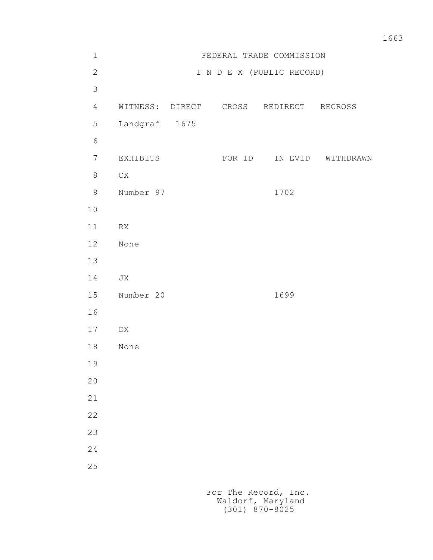| $\mathbf 1$    |                 |        | FEDERAL TRADE COMMISSION  |                   |
|----------------|-----------------|--------|---------------------------|-------------------|
| $\mathbf{2}$   |                 |        | I N D E X (PUBLIC RECORD) |                   |
| $\mathcal{S}$  |                 |        |                           |                   |
| $\overline{4}$ | WITNESS: DIRECT |        | CROSS REDIRECT RECROSS    |                   |
| $\mathsf S$    | Landgraf 1675   |        |                           |                   |
| $\sqrt{6}$     |                 |        |                           |                   |
| $\overline{7}$ | EXHIBITS        | FOR ID |                           | IN EVID WITHDRAWN |
| $\,8\,$        | ${\rm CX}$      |        |                           |                   |
| $\mathcal{G}$  | Number 97       |        | 1702                      |                   |
| $10$           |                 |        |                           |                   |
| 11             | ${\sf RX}$      |        |                           |                   |
| 12             | None            |        |                           |                   |
| 13             |                 |        |                           |                   |
| 14             | JX              |        |                           |                   |
| 15             | Number 20       |        | 1699                      |                   |
| 16             |                 |        |                           |                   |
| $17$           | DX              |        |                           |                   |
| 18             | None            |        |                           |                   |
| 19             |                 |        |                           |                   |
| 20             |                 |        |                           |                   |
| 21             |                 |        |                           |                   |
| 22             |                 |        |                           |                   |
| 23             |                 |        |                           |                   |
| 24             |                 |        |                           |                   |
| 25             |                 |        |                           |                   |
|                |                 |        |                           |                   |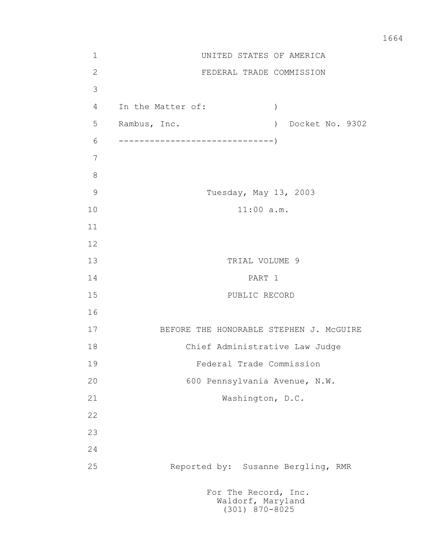1 UNITED STATES OF AMERICA 2 FEDERAL TRADE COMMISSION 3 4 In the Matter of: ) 5 Rambus, Inc. ) Docket No. 9302 6 ------------------------------) 7 8 9 Tuesday, May 13, 2003 10 11:00 a.m. 11 12 13 TRIAL VOLUME 9 14 PART 1 15 PUBLIC RECORD 16 17 BEFORE THE HONORABLE STEPHEN J. McGUIRE 18 Chief Administrative Law Judge 19 Federal Trade Commission 20 600 Pennsylvania Avenue, N.W. 21 Washington, D.C. 22 23 24 25 Reported by: Susanne Bergling, RMR For The Record, Inc. Waldorf, Maryland

(301) 870-8025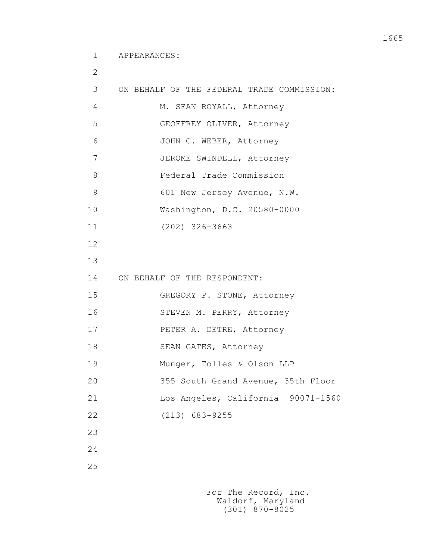1 APPEARANCES:

 2 3 ON BEHALF OF THE FEDERAL TRADE COMMISSION: 4 M. SEAN ROYALL, Attorney 5 GEOFFREY OLIVER, Attorney 6 JOHN C. WEBER, Attorney 7 JEROME SWINDELL, Attorney 8 Federal Trade Commission 9 601 New Jersey Avenue, N.W. 10 Washington, D.C. 20580-0000 11 (202) 326-3663 12 13 14 ON BEHALF OF THE RESPONDENT: 15 GREGORY P. STONE, Attorney 16 STEVEN M. PERRY, Attorney 17 PETER A. DETRE, Attorney 18 SEAN GATES, Attorney 19 Munger, Tolles & Olson LLP 20 355 South Grand Avenue, 35th Floor 21 Los Angeles, California 90071-1560 22 (213) 683-9255 23 24 25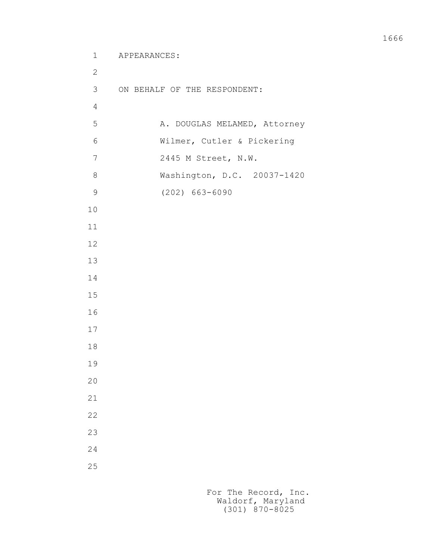```
 1 APPEARANCES:
2
          3 ON BEHALF OF THE RESPONDENT:
4
         5 A. DOUGLAS MELAMED, Attorney
          6 Wilmer, Cutler & Pickering
          7 2445 M Street, N.W.
          8 Washington, D.C. 20037-1420
          9 (202) 663-6090
         10
         11
         12
         13
         14
         15
         16
         17
         18
         19
         20
         21
         22
         23
         24
         25
```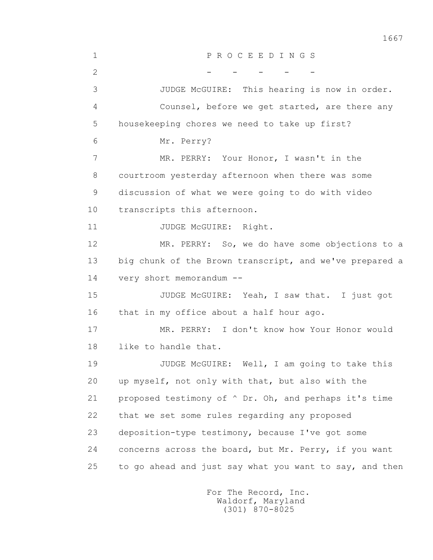1 P R O C E E D I N G S  $2$  - - - - - 3 JUDGE McGUIRE: This hearing is now in order. 4 Counsel, before we get started, are there any 5 housekeeping chores we need to take up first? 6 Mr. Perry? 7 MR. PERRY: Your Honor, I wasn't in the 8 courtroom yesterday afternoon when there was some 9 discussion of what we were going to do with video 10 transcripts this afternoon. 11 JUDGE McGUIRE: Right. 12 MR. PERRY: So, we do have some objections to a 13 big chunk of the Brown transcript, and we've prepared a 14 very short memorandum -- 15 JUDGE McGUIRE: Yeah, I saw that. I just got 16 that in my office about a half hour ago. 17 MR. PERRY: I don't know how Your Honor would 18 like to handle that. 19 JUDGE McGUIRE: Well, I am going to take this 20 up myself, not only with that, but also with the 21 proposed testimony of ^ Dr. Oh, and perhaps it's time 22 that we set some rules regarding any proposed 23 deposition-type testimony, because I've got some 24 concerns across the board, but Mr. Perry, if you want 25 to go ahead and just say what you want to say, and then

> For The Record, Inc. Waldorf, Maryland (301) 870-8025

1667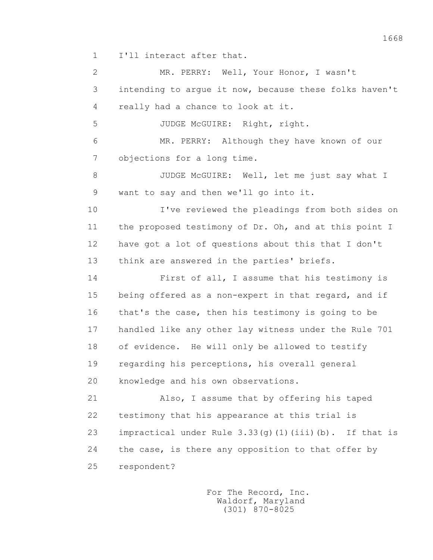1 I'll interact after that.

 2 MR. PERRY: Well, Your Honor, I wasn't 3 intending to argue it now, because these folks haven't 4 really had a chance to look at it. 5 JUDGE McGUIRE: Right, right. 6 MR. PERRY: Although they have known of our 7 objections for a long time. 8 JUDGE McGUIRE: Well, let me just say what I 9 want to say and then we'll go into it. 10 I've reviewed the pleadings from both sides on 11 the proposed testimony of Dr. Oh, and at this point I 12 have got a lot of questions about this that I don't 13 think are answered in the parties' briefs. 14 First of all, I assume that his testimony is 15 being offered as a non-expert in that regard, and if 16 that's the case, then his testimony is going to be 17 handled like any other lay witness under the Rule 701 18 of evidence. He will only be allowed to testify 19 regarding his perceptions, his overall general 20 knowledge and his own observations. 21 Also, I assume that by offering his taped 22 testimony that his appearance at this trial is 23 impractical under Rule  $3.33(q)(1)(iii)$  (b). If that is 24 the case, is there any opposition to that offer by 25 respondent?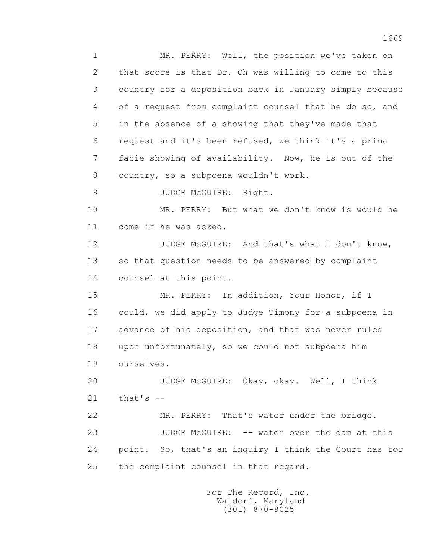1 MR. PERRY: Well, the position we've taken on 2 that score is that Dr. Oh was willing to come to this 3 country for a deposition back in January simply because 4 of a request from complaint counsel that he do so, and 5 in the absence of a showing that they've made that 6 request and it's been refused, we think it's a prima 7 facie showing of availability. Now, he is out of the 8 country, so a subpoena wouldn't work. 9 JUDGE McGUIRE: Right. 10 MR. PERRY: But what we don't know is would he 11 come if he was asked. 12 JUDGE McGUIRE: And that's what I don't know, 13 so that question needs to be answered by complaint 14 counsel at this point. 15 MR. PERRY: In addition, Your Honor, if I 16 could, we did apply to Judge Timony for a subpoena in 17 advance of his deposition, and that was never ruled 18 upon unfortunately, so we could not subpoena him 19 ourselves. 20 JUDGE McGUIRE: Okay, okay. Well, I think  $21$  that's  $-$  22 MR. PERRY: That's water under the bridge. 23 JUDGE McGUIRE: -- water over the dam at this 24 point. So, that's an inquiry I think the Court has for 25 the complaint counsel in that regard.

> For The Record, Inc. Waldorf, Maryland (301) 870-8025

1669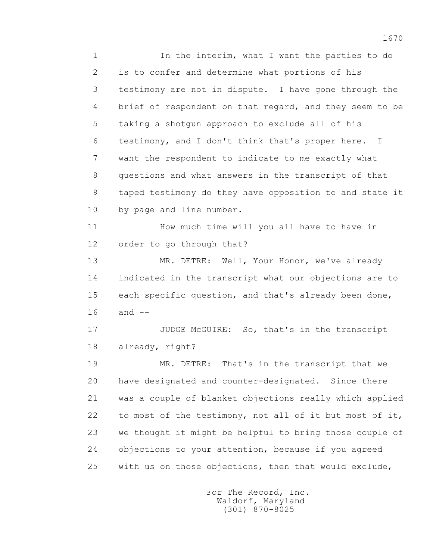1 In the interim, what I want the parties to do 2 is to confer and determine what portions of his 3 testimony are not in dispute. I have gone through the 4 brief of respondent on that regard, and they seem to be 5 taking a shotgun approach to exclude all of his 6 testimony, and I don't think that's proper here. I 7 want the respondent to indicate to me exactly what 8 questions and what answers in the transcript of that 9 taped testimony do they have opposition to and state it 10 by page and line number.

 11 How much time will you all have to have in 12 order to go through that?

 13 MR. DETRE: Well, Your Honor, we've already 14 indicated in the transcript what our objections are to 15 each specific question, and that's already been done, 16 and --

17 JUDGE McGUIRE: So, that's in the transcript 18 already, right?

 19 MR. DETRE: That's in the transcript that we 20 have designated and counter-designated. Since there 21 was a couple of blanket objections really which applied 22 to most of the testimony, not all of it but most of it, 23 we thought it might be helpful to bring those couple of 24 objections to your attention, because if you agreed 25 with us on those objections, then that would exclude,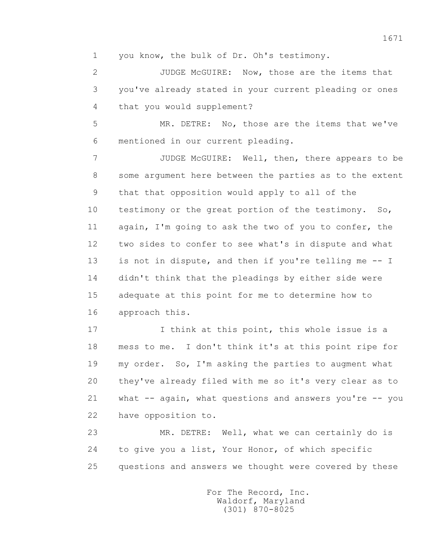1 you know, the bulk of Dr. Oh's testimony.

 2 JUDGE McGUIRE: Now, those are the items that 3 you've already stated in your current pleading or ones 4 that you would supplement?

 5 MR. DETRE: No, those are the items that we've 6 mentioned in our current pleading.

 7 JUDGE McGUIRE: Well, then, there appears to be 8 some argument here between the parties as to the extent 9 that that opposition would apply to all of the 10 testimony or the great portion of the testimony. So, 11 again, I'm going to ask the two of you to confer, the 12 two sides to confer to see what's in dispute and what 13 is not in dispute, and then if you're telling me -- I 14 didn't think that the pleadings by either side were 15 adequate at this point for me to determine how to 16 approach this.

17 17 I think at this point, this whole issue is a 18 mess to me. I don't think it's at this point ripe for 19 my order. So, I'm asking the parties to augment what 20 they've already filed with me so it's very clear as to 21 what -- again, what questions and answers you're -- you 22 have opposition to.

 23 MR. DETRE: Well, what we can certainly do is 24 to give you a list, Your Honor, of which specific 25 questions and answers we thought were covered by these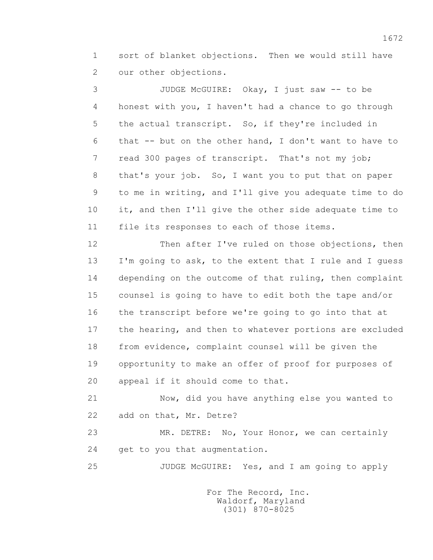1 sort of blanket objections. Then we would still have 2 our other objections.

 3 JUDGE McGUIRE: Okay, I just saw -- to be 4 honest with you, I haven't had a chance to go through 5 the actual transcript. So, if they're included in 6 that -- but on the other hand, I don't want to have to 7 read 300 pages of transcript. That's not my job; 8 that's your job. So, I want you to put that on paper 9 to me in writing, and I'll give you adequate time to do 10 it, and then I'll give the other side adequate time to 11 file its responses to each of those items.

 12 Then after I've ruled on those objections, then 13 I'm going to ask, to the extent that I rule and I guess 14 depending on the outcome of that ruling, then complaint 15 counsel is going to have to edit both the tape and/or 16 the transcript before we're going to go into that at 17 the hearing, and then to whatever portions are excluded 18 from evidence, complaint counsel will be given the 19 opportunity to make an offer of proof for purposes of 20 appeal if it should come to that.

 21 Now, did you have anything else you wanted to 22 add on that, Mr. Detre?

 23 MR. DETRE: No, Your Honor, we can certainly 24 get to you that augmentation.

25 JUDGE McGUIRE: Yes, and I am going to apply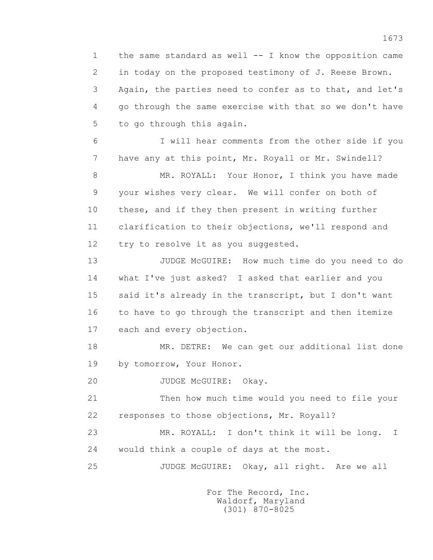1 the same standard as well -- I know the opposition came 2 in today on the proposed testimony of J. Reese Brown. 3 Again, the parties need to confer as to that, and let's 4 go through the same exercise with that so we don't have 5 to go through this again.

 6 I will hear comments from the other side if you 7 have any at this point, Mr. Royall or Mr. Swindell?

8 MR. ROYALL: Your Honor, I think you have made 9 your wishes very clear. We will confer on both of 10 these, and if they then present in writing further 11 clarification to their objections, we'll respond and 12 try to resolve it as you suggested.

13 JUDGE McGUIRE: How much time do you need to do 14 what I've just asked? I asked that earlier and you 15 said it's already in the transcript, but I don't want 16 to have to go through the transcript and then itemize 17 each and every objection.

 18 MR. DETRE: We can get our additional list done 19 by tomorrow, Your Honor.

20 JUDGE McGUIRE: Okay.

 21 Then how much time would you need to file your 22 responses to those objections, Mr. Royall?

 23 MR. ROYALL: I don't think it will be long. I 24 would think a couple of days at the most.

25 JUDGE McGUIRE: Okay, all right. Are we all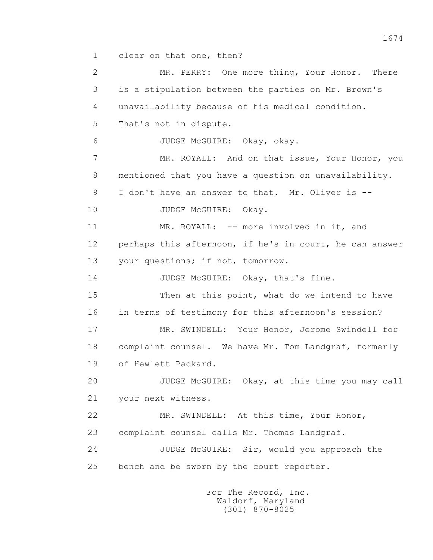1 clear on that one, then?

 2 MR. PERRY: One more thing, Your Honor. There 3 is a stipulation between the parties on Mr. Brown's 4 unavailability because of his medical condition. 5 That's not in dispute. 6 JUDGE McGUIRE: Okay, okay. 7 MR. ROYALL: And on that issue, Your Honor, you 8 mentioned that you have a question on unavailability. 9 I don't have an answer to that. Mr. Oliver is -- 10 JUDGE McGUIRE: Okay. 11 MR. ROYALL: -- more involved in it, and 12 perhaps this afternoon, if he's in court, he can answer 13 your questions; if not, tomorrow. 14 JUDGE McGUIRE: Okay, that's fine. 15 Then at this point, what do we intend to have 16 in terms of testimony for this afternoon's session? 17 MR. SWINDELL: Your Honor, Jerome Swindell for 18 complaint counsel. We have Mr. Tom Landgraf, formerly 19 of Hewlett Packard. 20 JUDGE McGUIRE: Okay, at this time you may call 21 your next witness. 22 MR. SWINDELL: At this time, Your Honor, 23 complaint counsel calls Mr. Thomas Landgraf. 24 JUDGE McGUIRE: Sir, would you approach the 25 bench and be sworn by the court reporter.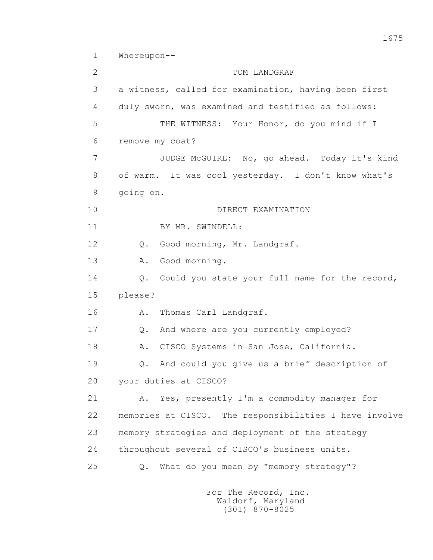1 Whereupon--

2 TOM LANDGRAF 3 a witness, called for examination, having been first 4 duly sworn, was examined and testified as follows: 5 THE WITNESS: Your Honor, do you mind if I 6 remove my coat? 7 JUDGE McGUIRE: No, go ahead. Today it's kind 8 of warm. It was cool yesterday. I don't know what's 9 going on. 10 DIRECT EXAMINATION 11 BY MR. SWINDELL: 12 Q. Good morning, Mr. Landgraf. 13 A. Good morning. 14 Q. Could you state your full name for the record, 15 please? 16 A. Thomas Carl Landgraf. 17 Q. And where are you currently employed? 18 A. CISCO Systems in San Jose, California. 19 Q. And could you give us a brief description of 20 your duties at CISCO? 21 A. Yes, presently I'm a commodity manager for 22 memories at CISCO. The responsibilities I have involve 23 memory strategies and deployment of the strategy 24 throughout several of CISCO's business units. 25 Q. What do you mean by "memory strategy"?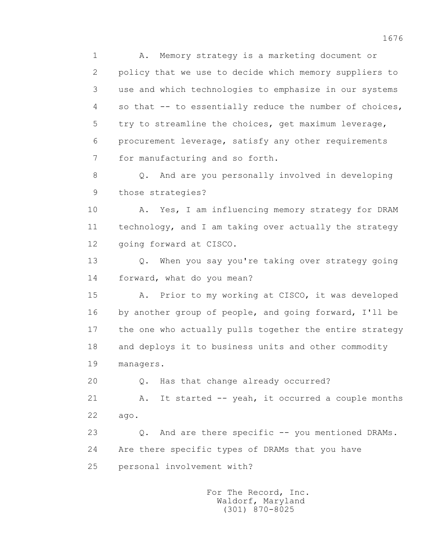1 A. Memory strategy is a marketing document or 2 policy that we use to decide which memory suppliers to 3 use and which technologies to emphasize in our systems 4 so that -- to essentially reduce the number of choices, 5 try to streamline the choices, get maximum leverage, 6 procurement leverage, satisfy any other requirements 7 for manufacturing and so forth.

 8 Q. And are you personally involved in developing 9 those strategies?

10 A. Yes, I am influencing memory strategy for DRAM 11 technology, and I am taking over actually the strategy 12 going forward at CISCO.

 13 Q. When you say you're taking over strategy going 14 forward, what do you mean?

 15 A. Prior to my working at CISCO, it was developed 16 by another group of people, and going forward, I'll be 17 the one who actually pulls together the entire strategy 18 and deploys it to business units and other commodity 19 managers.

20 Q. Has that change already occurred?

21 A. It started -- yeah, it occurred a couple months 22 ago.

 23 Q. And are there specific -- you mentioned DRAMs. 24 Are there specific types of DRAMs that you have 25 personal involvement with?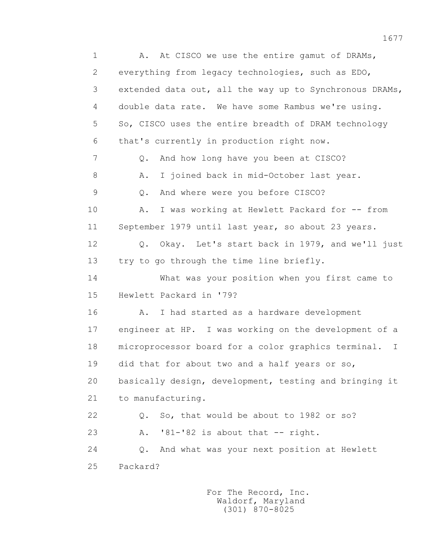1 A. At CISCO we use the entire gamut of DRAMs, 2 everything from legacy technologies, such as EDO, 3 extended data out, all the way up to Synchronous DRAMs, 4 double data rate. We have some Rambus we're using. 5 So, CISCO uses the entire breadth of DRAM technology 6 that's currently in production right now. 7 Q. And how long have you been at CISCO? 8 A. I joined back in mid-October last year. 9 Q. And where were you before CISCO? 10 A. I was working at Hewlett Packard for -- from 11 September 1979 until last year, so about 23 years. 12 Q. Okay. Let's start back in 1979, and we'll just 13 try to go through the time line briefly. 14 What was your position when you first came to 15 Hewlett Packard in '79? 16 A. I had started as a hardware development 17 engineer at HP. I was working on the development of a 18 microprocessor board for a color graphics terminal. I 19 did that for about two and a half years or so, 20 basically design, development, testing and bringing it 21 to manufacturing. 22 Q. So, that would be about to 1982 or so? 23 A. '81-'82 is about that -- right. 24 Q. And what was your next position at Hewlett 25 Packard?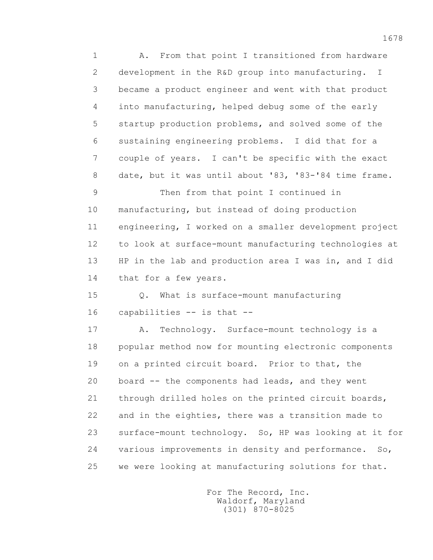1 A. From that point I transitioned from hardware 2 development in the R&D group into manufacturing. I 3 became a product engineer and went with that product 4 into manufacturing, helped debug some of the early 5 startup production problems, and solved some of the 6 sustaining engineering problems. I did that for a 7 couple of years. I can't be specific with the exact 8 date, but it was until about '83, '83-'84 time frame.

 9 Then from that point I continued in 10 manufacturing, but instead of doing production 11 engineering, I worked on a smaller development project 12 to look at surface-mount manufacturing technologies at 13 HP in the lab and production area I was in, and I did 14 that for a few years.

 15 Q. What is surface-mount manufacturing 16 capabilities -- is that --

 17 A. Technology. Surface-mount technology is a 18 popular method now for mounting electronic components 19 on a printed circuit board. Prior to that, the 20 board -- the components had leads, and they went 21 through drilled holes on the printed circuit boards, 22 and in the eighties, there was a transition made to 23 surface-mount technology. So, HP was looking at it for 24 various improvements in density and performance. So, 25 we were looking at manufacturing solutions for that.

> For The Record, Inc. Waldorf, Maryland (301) 870-8025

1678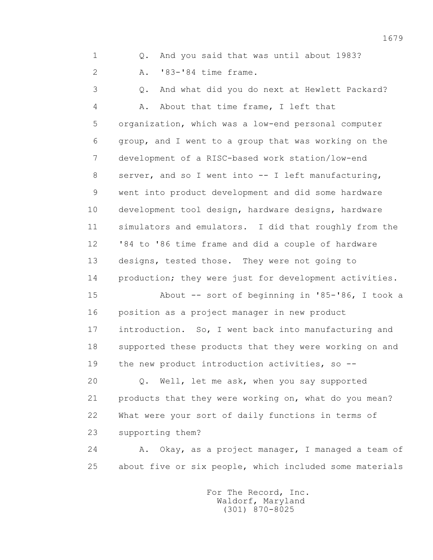1 Q. And you said that was until about 1983?

2 A. '83-'84 time frame.

 3 Q. And what did you do next at Hewlett Packard? 4 A. About that time frame, I left that 5 organization, which was a low-end personal computer 6 group, and I went to a group that was working on the 7 development of a RISC-based work station/low-end 8 server, and so I went into -- I left manufacturing, 9 went into product development and did some hardware 10 development tool design, hardware designs, hardware 11 simulators and emulators. I did that roughly from the 12 '84 to '86 time frame and did a couple of hardware 13 designs, tested those. They were not going to 14 production; they were just for development activities. 15 About -- sort of beginning in '85-'86, I took a 16 position as a project manager in new product 17 introduction. So, I went back into manufacturing and 18 supported these products that they were working on and

19 the new product introduction activities, so --

 20 Q. Well, let me ask, when you say supported 21 products that they were working on, what do you mean? 22 What were your sort of daily functions in terms of 23 supporting them?

 24 A. Okay, as a project manager, I managed a team of 25 about five or six people, which included some materials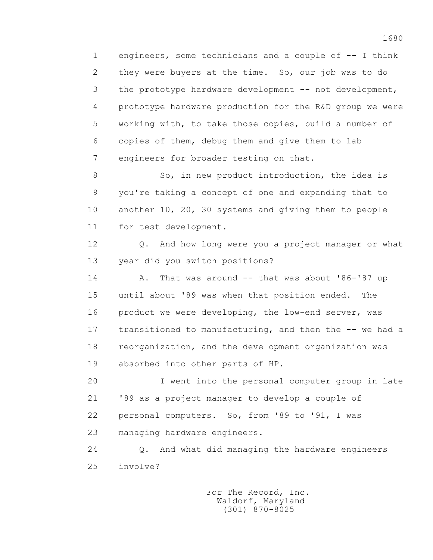1 engineers, some technicians and a couple of -- I think 2 they were buyers at the time. So, our job was to do 3 the prototype hardware development -- not development, 4 prototype hardware production for the R&D group we were 5 working with, to take those copies, build a number of 6 copies of them, debug them and give them to lab 7 engineers for broader testing on that.

8 So, in new product introduction, the idea is 9 you're taking a concept of one and expanding that to 10 another 10, 20, 30 systems and giving them to people 11 for test development.

 12 Q. And how long were you a project manager or what 13 year did you switch positions?

 14 A. That was around -- that was about '86-'87 up 15 until about '89 was when that position ended. The 16 product we were developing, the low-end server, was 17 transitioned to manufacturing, and then the -- we had a 18 reorganization, and the development organization was 19 absorbed into other parts of HP.

 20 I went into the personal computer group in late 21 '89 as a project manager to develop a couple of 22 personal computers. So, from '89 to '91, I was 23 managing hardware engineers.

 24 Q. And what did managing the hardware engineers 25 involve?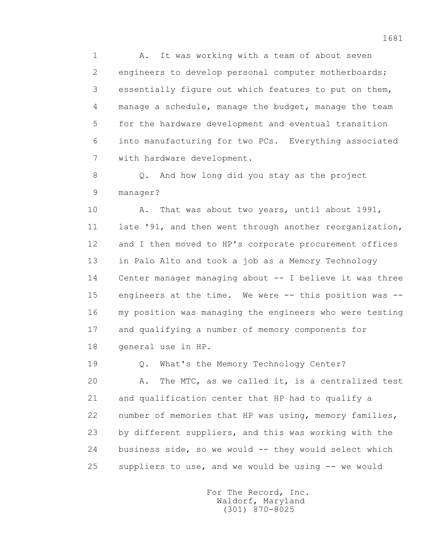1 A. It was working with a team of about seven 2 engineers to develop personal computer motherboards; 3 essentially figure out which features to put on them, 4 manage a schedule, manage the budget, manage the team 5 for the hardware development and eventual transition 6 into manufacturing for two PCs. Everything associated 7 with hardware development.

 8 Q. And how long did you stay as the project 9 manager?

 10 A. That was about two years, until about 1991, 11 late '91, and then went through another reorganization, 12 and I then moved to HP's corporate procurement offices 13 in Palo Alto and took a job as a Memory Technology 14 Center manager managing about -- I believe it was three 15 engineers at the time. We were -- this position was -- 16 my position was managing the engineers who were testing 17 and qualifying a number of memory components for 18 general use in HP.

 19 Q. What's the Memory Technology Center? 20 A. The MTC, as we called it, is a centralized test 21 and qualification center that HP had to qualify a 22 number of memories that HP was using, memory families, 23 by different suppliers, and this was working with the 24 business side, so we would -- they would select which 25 suppliers to use, and we would be using -- we would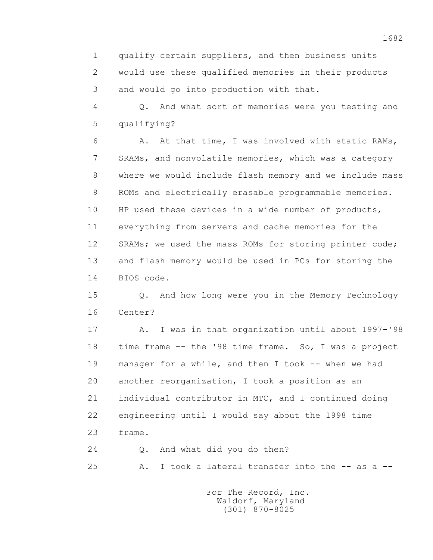1 qualify certain suppliers, and then business units 2 would use these qualified memories in their products 3 and would go into production with that.

 4 Q. And what sort of memories were you testing and 5 qualifying?

 6 A. At that time, I was involved with static RAMs, 7 SRAMs, and nonvolatile memories, which was a category 8 where we would include flash memory and we include mass 9 ROMs and electrically erasable programmable memories. 10 HP used these devices in a wide number of products, 11 everything from servers and cache memories for the 12 SRAMs; we used the mass ROMs for storing printer code; 13 and flash memory would be used in PCs for storing the 14 BIOS code.

 15 Q. And how long were you in the Memory Technology 16 Center?

 17 A. I was in that organization until about 1997-'98 18 time frame -- the '98 time frame. So, I was a project 19 manager for a while, and then I took -- when we had 20 another reorganization, I took a position as an 21 individual contributor in MTC, and I continued doing 22 engineering until I would say about the 1998 time 23 frame.

24 Q. And what did you do then?

25 A. I took a lateral transfer into the -- as a --

 For The Record, Inc. Waldorf, Maryland (301) 870-8025

1682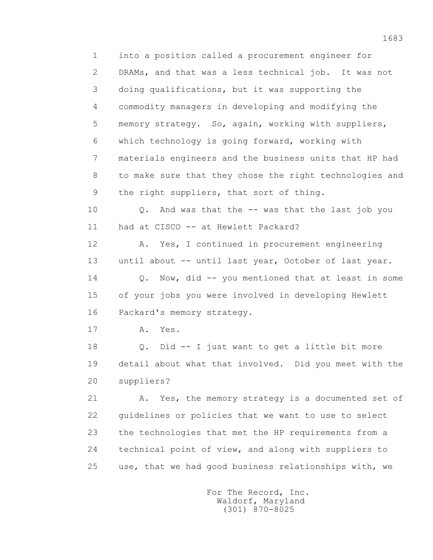1 into a position called a procurement engineer for 2 DRAMs, and that was a less technical job. It was not 3 doing qualifications, but it was supporting the 4 commodity managers in developing and modifying the 5 memory strategy. So, again, working with suppliers, 6 which technology is going forward, working with 7 materials engineers and the business units that HP had 8 to make sure that they chose the right technologies and 9 the right suppliers, that sort of thing.

 10 Q. And was that the -- was that the last job you 11 had at CISCO -- at Hewlett Packard?

 12 A. Yes, I continued in procurement engineering 13 until about -- until last year, October of last year.

14 0. Now, did -- you mentioned that at least in some 15 of your jobs you were involved in developing Hewlett 16 Packard's memory strategy.

17 A. Yes.

 18 Q. Did -- I just want to get a little bit more 19 detail about what that involved. Did you meet with the 20 suppliers?

21 A. Yes, the memory strategy is a documented set of 22 guidelines or policies that we want to use to select 23 the technologies that met the HP requirements from a 24 technical point of view, and along with suppliers to 25 use, that we had good business relationships with, we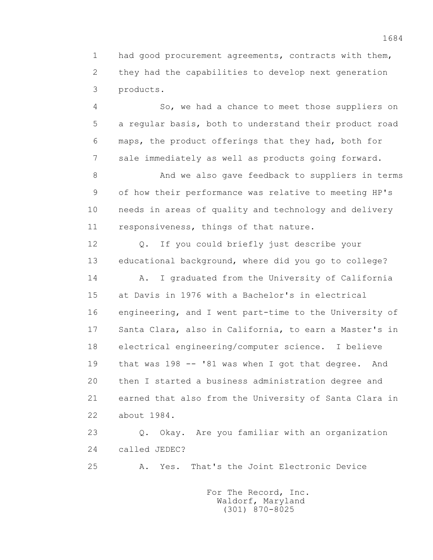1 had good procurement agreements, contracts with them, 2 they had the capabilities to develop next generation 3 products.

 4 So, we had a chance to meet those suppliers on 5 a regular basis, both to understand their product road 6 maps, the product offerings that they had, both for 7 sale immediately as well as products going forward.

 8 And we also gave feedback to suppliers in terms 9 of how their performance was relative to meeting HP's 10 needs in areas of quality and technology and delivery 11 responsiveness, things of that nature.

 12 Q. If you could briefly just describe your 13 educational background, where did you go to college?

 14 A. I graduated from the University of California 15 at Davis in 1976 with a Bachelor's in electrical 16 engineering, and I went part-time to the University of 17 Santa Clara, also in California, to earn a Master's in 18 electrical engineering/computer science. I believe 19 that was 198 -- '81 was when I got that degree. And 20 then I started a business administration degree and 21 earned that also from the University of Santa Clara in 22 about 1984.

 23 Q. Okay. Are you familiar with an organization 24 called JEDEC?

25 A. Yes. That's the Joint Electronic Device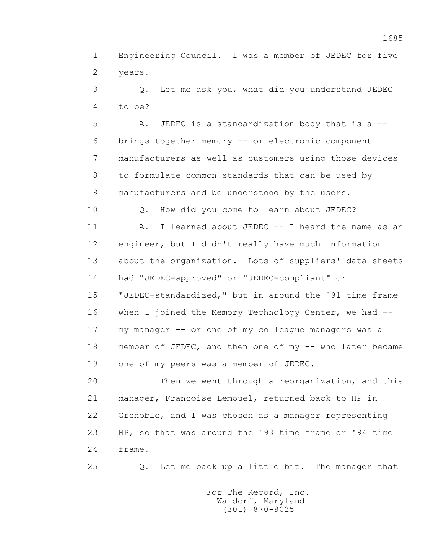1 Engineering Council. I was a member of JEDEC for five 2 years.

 3 Q. Let me ask you, what did you understand JEDEC 4 to be?

 5 A. JEDEC is a standardization body that is a -- 6 brings together memory -- or electronic component 7 manufacturers as well as customers using those devices 8 to formulate common standards that can be used by 9 manufacturers and be understood by the users.

10 Q. How did you come to learn about JEDEC?

 11 A. I learned about JEDEC -- I heard the name as an 12 engineer, but I didn't really have much information 13 about the organization. Lots of suppliers' data sheets 14 had "JEDEC-approved" or "JEDEC-compliant" or 15 "JEDEC-standardized," but in around the '91 time frame 16 when I joined the Memory Technology Center, we had -- 17 my manager -- or one of my colleague managers was a 18 member of JEDEC, and then one of my -- who later became 19 one of my peers was a member of JEDEC.

 20 Then we went through a reorganization, and this 21 manager, Francoise Lemouel, returned back to HP in 22 Grenoble, and I was chosen as a manager representing 23 HP, so that was around the '93 time frame or '94 time 24 frame.

25 Q. Let me back up a little bit. The manager that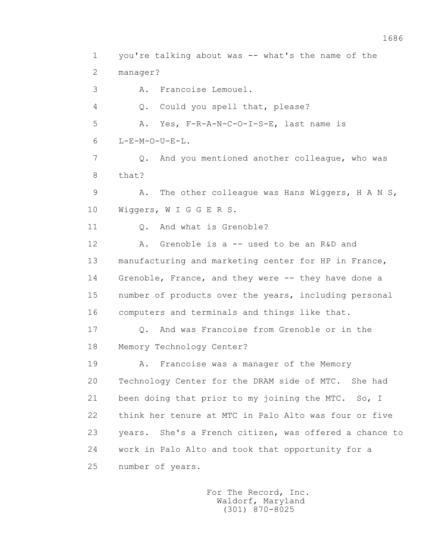1 you're talking about was -- what's the name of the 2 manager? 3 A. Francoise Lemouel. 4 Q. Could you spell that, please? 5 A. Yes, F-R-A-N-C-O-I-S-E, last name is 6 L-E-M-O-U-E-L. 7 Q. And you mentioned another colleague, who was 8 that? 9 A. The other colleague was Hans Wiggers, H A N S, 10 Wiggers, W I G G E R S. 11 0. And what is Grenoble? 12 A. Grenoble is a -- used to be an R&D and 13 manufacturing and marketing center for HP in France, 14 Grenoble, France, and they were -- they have done a 15 number of products over the years, including personal 16 computers and terminals and things like that. 17 Q. And was Francoise from Grenoble or in the 18 Memory Technology Center? 19 A. Francoise was a manager of the Memory 20 Technology Center for the DRAM side of MTC. She had 21 been doing that prior to my joining the MTC. So, I 22 think her tenure at MTC in Palo Alto was four or five 23 years. She's a French citizen, was offered a chance to 24 work in Palo Alto and took that opportunity for a 25 number of years.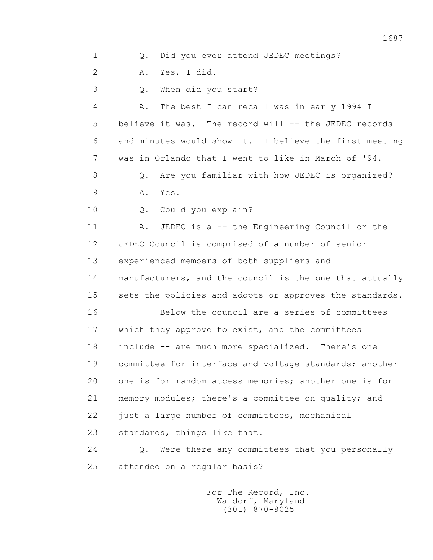1 Q. Did you ever attend JEDEC meetings? 2 A. Yes, I did. 3 Q. When did you start? 4 A. The best I can recall was in early 1994 I 5 believe it was. The record will -- the JEDEC records 6 and minutes would show it. I believe the first meeting 7 was in Orlando that I went to like in March of '94. 8 0. Are you familiar with how JEDEC is organized? 9 A. Yes. 10 Q. Could you explain? 11 A. JEDEC is a -- the Engineering Council or the 12 JEDEC Council is comprised of a number of senior 13 experienced members of both suppliers and 14 manufacturers, and the council is the one that actually 15 sets the policies and adopts or approves the standards. 16 Below the council are a series of committees 17 which they approve to exist, and the committees 18 include -- are much more specialized. There's one 19 committee for interface and voltage standards; another 20 one is for random access memories; another one is for 21 memory modules; there's a committee on quality; and 22 just a large number of committees, mechanical 23 standards, things like that. 24 Q. Were there any committees that you personally 25 attended on a regular basis?

> For The Record, Inc. Waldorf, Maryland (301) 870-8025

1687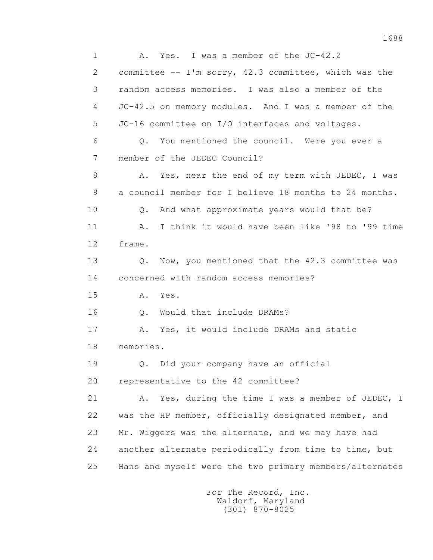1 A. Yes. I was a member of the JC-42.2 2 committee -- I'm sorry, 42.3 committee, which was the 3 random access memories. I was also a member of the 4 JC-42.5 on memory modules. And I was a member of the 5 JC-16 committee on I/O interfaces and voltages. 6 Q. You mentioned the council. Were you ever a 7 member of the JEDEC Council? 8 A. Yes, near the end of my term with JEDEC, I was 9 a council member for I believe 18 months to 24 months. 10 Q. And what approximate years would that be? 11 A. I think it would have been like '98 to '99 time 12 frame. 13 Q. Now, you mentioned that the 42.3 committee was 14 concerned with random access memories? 15 A. Yes. 16 0. Would that include DRAMs? 17 A. Yes, it would include DRAMs and static 18 memories. 19 Q. Did your company have an official 20 representative to the 42 committee? 21 A. Yes, during the time I was a member of JEDEC, I 22 was the HP member, officially designated member, and 23 Mr. Wiggers was the alternate, and we may have had 24 another alternate periodically from time to time, but 25 Hans and myself were the two primary members/alternates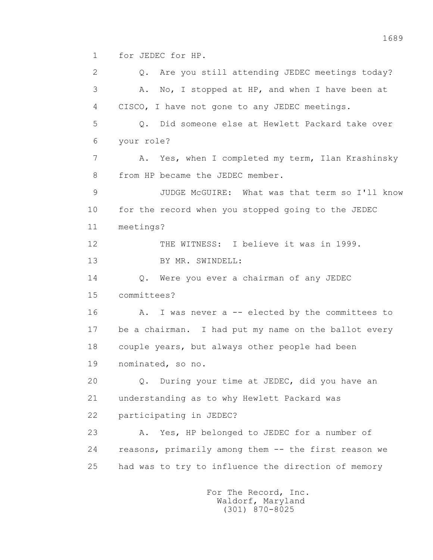1 for JEDEC for HP.

2 0. Are you still attending JEDEC meetings today? 3 A. No, I stopped at HP, and when I have been at 4 CISCO, I have not gone to any JEDEC meetings. 5 Q. Did someone else at Hewlett Packard take over 6 your role? 7 A. Yes, when I completed my term, Ilan Krashinsky 8 from HP became the JEDEC member. 9 JUDGE McGUIRE: What was that term so I'll know 10 for the record when you stopped going to the JEDEC 11 meetings? 12 THE WITNESS: I believe it was in 1999. 13 BY MR. SWINDELL: 14 O. Were you ever a chairman of any JEDEC 15 committees? 16 A. I was never a -- elected by the committees to 17 be a chairman. I had put my name on the ballot every 18 couple years, but always other people had been 19 nominated, so no. 20 Q. During your time at JEDEC, did you have an 21 understanding as to why Hewlett Packard was 22 participating in JEDEC? 23 A. Yes, HP belonged to JEDEC for a number of 24 reasons, primarily among them -- the first reason we 25 had was to try to influence the direction of memory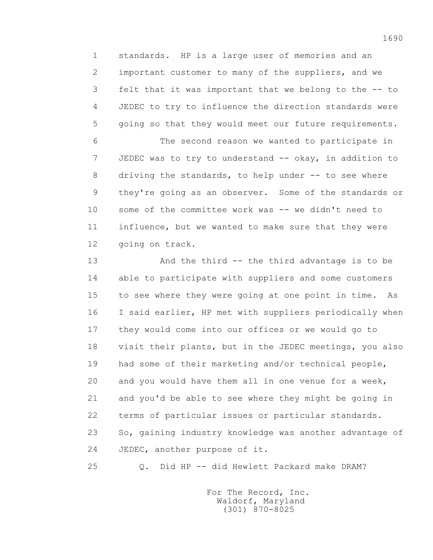1 standards. HP is a large user of memories and an 2 important customer to many of the suppliers, and we 3 felt that it was important that we belong to the -- to 4 JEDEC to try to influence the direction standards were 5 going so that they would meet our future requirements.

 6 The second reason we wanted to participate in 7 JEDEC was to try to understand -- okay, in addition to 8 driving the standards, to help under -- to see where 9 they're going as an observer. Some of the standards or 10 some of the committee work was -- we didn't need to 11 influence, but we wanted to make sure that they were 12 going on track.

 13 And the third -- the third advantage is to be 14 able to participate with suppliers and some customers 15 to see where they were going at one point in time. As 16 I said earlier, HP met with suppliers periodically when 17 they would come into our offices or we would go to 18 visit their plants, but in the JEDEC meetings, you also 19 had some of their marketing and/or technical people, 20 and you would have them all in one venue for a week, 21 and you'd be able to see where they might be going in 22 terms of particular issues or particular standards. 23 So, gaining industry knowledge was another advantage of 24 JEDEC, another purpose of it.

25 Q. Did HP -- did Hewlett Packard make DRAM?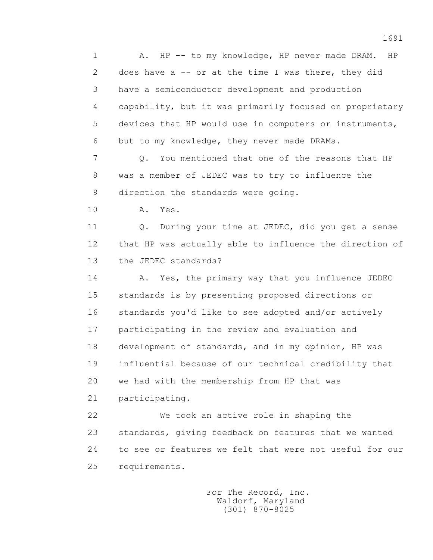1 A. HP -- to my knowledge, HP never made DRAM. HP 2 does have a -- or at the time I was there, they did 3 have a semiconductor development and production 4 capability, but it was primarily focused on proprietary 5 devices that HP would use in computers or instruments, 6 but to my knowledge, they never made DRAMs. 7 Q. You mentioned that one of the reasons that HP 8 was a member of JEDEC was to try to influence the

9 direction the standards were going.

10 A. Yes.

 11 Q. During your time at JEDEC, did you get a sense 12 that HP was actually able to influence the direction of 13 the JEDEC standards?

14 A. Yes, the primary way that you influence JEDEC 15 standards is by presenting proposed directions or 16 standards you'd like to see adopted and/or actively 17 participating in the review and evaluation and 18 development of standards, and in my opinion, HP was 19 influential because of our technical credibility that 20 we had with the membership from HP that was 21 participating.

 22 We took an active role in shaping the 23 standards, giving feedback on features that we wanted 24 to see or features we felt that were not useful for our 25 requirements.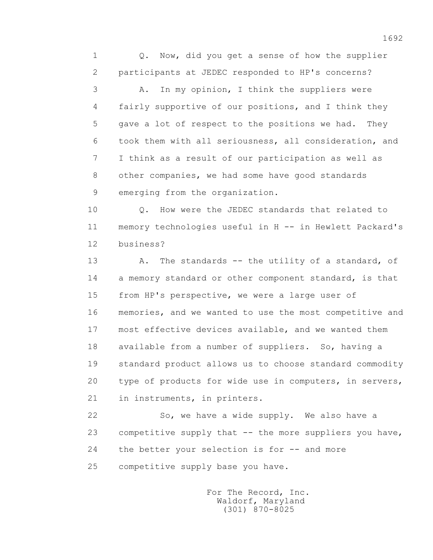1 Q. Now, did you get a sense of how the supplier 2 participants at JEDEC responded to HP's concerns? 3 A. In my opinion, I think the suppliers were 4 fairly supportive of our positions, and I think they 5 gave a lot of respect to the positions we had. They 6 took them with all seriousness, all consideration, and 7 I think as a result of our participation as well as 8 other companies, we had some have good standards 9 emerging from the organization.

10 0. How were the JEDEC standards that related to 11 memory technologies useful in H -- in Hewlett Packard's 12 business?

13 A. The standards -- the utility of a standard, of 14 a memory standard or other component standard, is that 15 from HP's perspective, we were a large user of 16 memories, and we wanted to use the most competitive and 17 most effective devices available, and we wanted them 18 available from a number of suppliers. So, having a 19 standard product allows us to choose standard commodity 20 type of products for wide use in computers, in servers, 21 in instruments, in printers.

22 So, we have a wide supply. We also have a 23 competitive supply that -- the more suppliers you have, 24 the better your selection is for -- and more 25 competitive supply base you have.

> For The Record, Inc. Waldorf, Maryland (301) 870-8025

1692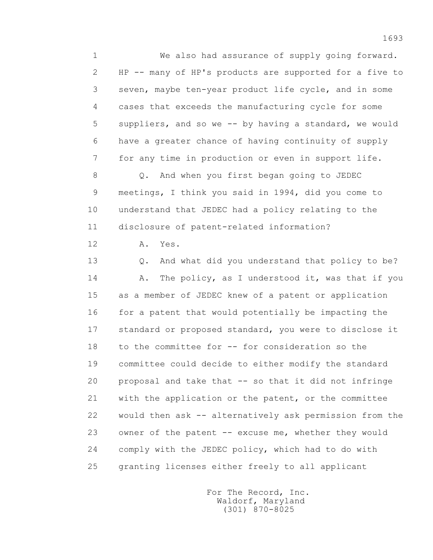1 We also had assurance of supply going forward. 2 HP -- many of HP's products are supported for a five to 3 seven, maybe ten-year product life cycle, and in some 4 cases that exceeds the manufacturing cycle for some 5 suppliers, and so we -- by having a standard, we would 6 have a greater chance of having continuity of supply 7 for any time in production or even in support life.

 8 Q. And when you first began going to JEDEC 9 meetings, I think you said in 1994, did you come to 10 understand that JEDEC had a policy relating to the 11 disclosure of patent-related information?

12 A. Yes.

 13 Q. And what did you understand that policy to be? 14 A. The policy, as I understood it, was that if you 15 as a member of JEDEC knew of a patent or application 16 for a patent that would potentially be impacting the 17 standard or proposed standard, you were to disclose it 18 to the committee for -- for consideration so the 19 committee could decide to either modify the standard 20 proposal and take that -- so that it did not infringe 21 with the application or the patent, or the committee 22 would then ask -- alternatively ask permission from the 23 owner of the patent -- excuse me, whether they would 24 comply with the JEDEC policy, which had to do with 25 granting licenses either freely to all applicant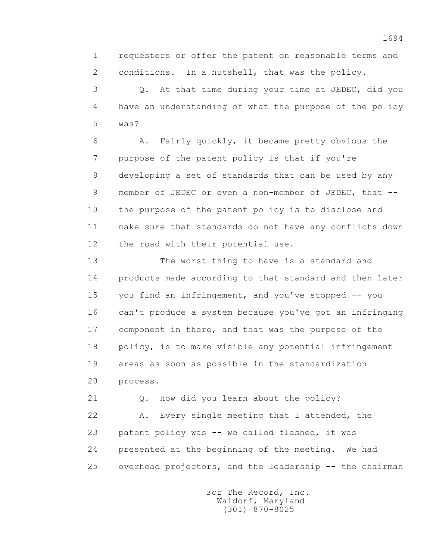1 requesters or offer the patent on reasonable terms and 2 conditions. In a nutshell, that was the policy.

 3 Q. At that time during your time at JEDEC, did you 4 have an understanding of what the purpose of the policy 5 was?

 6 A. Fairly quickly, it became pretty obvious the 7 purpose of the patent policy is that if you're 8 developing a set of standards that can be used by any 9 member of JEDEC or even a non-member of JEDEC, that -- 10 the purpose of the patent policy is to disclose and 11 make sure that standards do not have any conflicts down 12 the road with their potential use.

 13 The worst thing to have is a standard and 14 products made according to that standard and then later 15 you find an infringement, and you've stopped -- you 16 can't produce a system because you've got an infringing 17 component in there, and that was the purpose of the 18 policy, is to make visible any potential infringement 19 areas as soon as possible in the standardization 20 process.

 21 Q. How did you learn about the policy? 22 A. Every single meeting that I attended, the 23 patent policy was -- we called flashed, it was 24 presented at the beginning of the meeting. We had 25 overhead projectors, and the leadership -- the chairman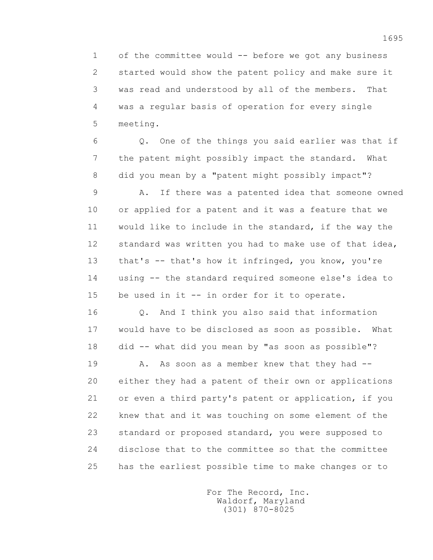1 of the committee would -- before we got any business 2 started would show the patent policy and make sure it 3 was read and understood by all of the members. That 4 was a regular basis of operation for every single 5 meeting.

 6 Q. One of the things you said earlier was that if 7 the patent might possibly impact the standard. What 8 did you mean by a "patent might possibly impact"?

 9 A. If there was a patented idea that someone owned 10 or applied for a patent and it was a feature that we 11 would like to include in the standard, if the way the 12 standard was written you had to make use of that idea, 13 that's -- that's how it infringed, you know, you're 14 using -- the standard required someone else's idea to 15 be used in it -- in order for it to operate.

 16 Q. And I think you also said that information 17 would have to be disclosed as soon as possible. What 18 did -- what did you mean by "as soon as possible"?

19 A. As soon as a member knew that they had -- 20 either they had a patent of their own or applications 21 or even a third party's patent or application, if you 22 knew that and it was touching on some element of the 23 standard or proposed standard, you were supposed to 24 disclose that to the committee so that the committee 25 has the earliest possible time to make changes or to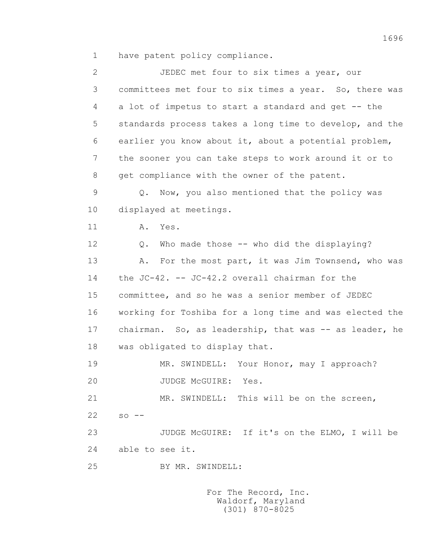1 have patent policy compliance.

 2 JEDEC met four to six times a year, our 3 committees met four to six times a year. So, there was 4 a lot of impetus to start a standard and get -- the 5 standards process takes a long time to develop, and the 6 earlier you know about it, about a potential problem, 7 the sooner you can take steps to work around it or to 8 get compliance with the owner of the patent. 9 Q. Now, you also mentioned that the policy was 10 displayed at meetings. 11 A. Yes. 12 Q. Who made those -- who did the displaying? 13 A. For the most part, it was Jim Townsend, who was 14 the JC-42. -- JC-42.2 overall chairman for the 15 committee, and so he was a senior member of JEDEC 16 working for Toshiba for a long time and was elected the 17 chairman. So, as leadership, that was -- as leader, he 18 was obligated to display that. 19 MR. SWINDELL: Your Honor, may I approach? 20 JUDGE McGUIRE: Yes. 21 MR. SWINDELL: This will be on the screen,  $22 \,$  so  $-$  23 JUDGE McGUIRE: If it's on the ELMO, I will be 24 able to see it. 25 BY MR. SWINDELL: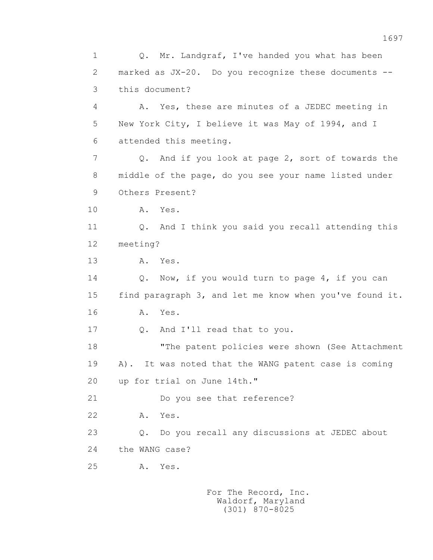1 Q. Mr. Landgraf, I've handed you what has been 2 marked as JX-20. Do you recognize these documents -- 3 this document? 4 A. Yes, these are minutes of a JEDEC meeting in 5 New York City, I believe it was May of 1994, and I 6 attended this meeting. 7 Q. And if you look at page 2, sort of towards the 8 middle of the page, do you see your name listed under 9 Others Present? 10 A. Yes. 11 Q. And I think you said you recall attending this 12 meeting? 13 A. Yes. 14 Q. Now, if you would turn to page 4, if you can 15 find paragraph 3, and let me know when you've found it. 16 **A.** Yes. 17 Q. And I'll read that to you. 18 "The patent policies were shown (See Attachment 19 A). It was noted that the WANG patent case is coming 20 up for trial on June 14th." 21 Do you see that reference? 22 A. Yes. 23 Q. Do you recall any discussions at JEDEC about 24 the WANG case? 25 A. Yes.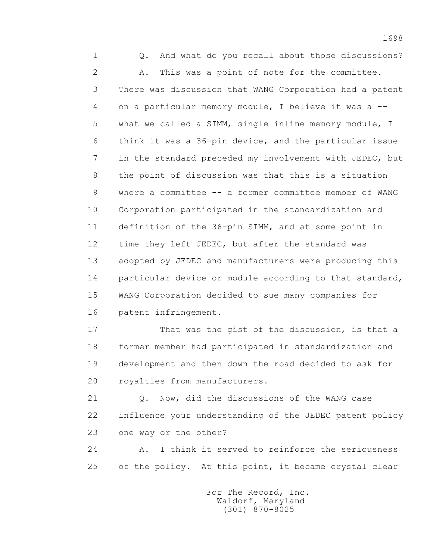1 Q. And what do you recall about those discussions? 2 A. This was a point of note for the committee. 3 There was discussion that WANG Corporation had a patent 4 on a particular memory module, I believe it was a -- 5 what we called a SIMM, single inline memory module, I 6 think it was a 36-pin device, and the particular issue 7 in the standard preceded my involvement with JEDEC, but 8 the point of discussion was that this is a situation 9 where a committee -- a former committee member of WANG 10 Corporation participated in the standardization and 11 definition of the 36-pin SIMM, and at some point in 12 time they left JEDEC, but after the standard was 13 adopted by JEDEC and manufacturers were producing this 14 particular device or module according to that standard, 15 WANG Corporation decided to sue many companies for 16 patent infringement.

17 That was the gist of the discussion, is that a 18 former member had participated in standardization and 19 development and then down the road decided to ask for 20 royalties from manufacturers.

 21 Q. Now, did the discussions of the WANG case 22 influence your understanding of the JEDEC patent policy 23 one way or the other?

 24 A. I think it served to reinforce the seriousness 25 of the policy. At this point, it became crystal clear

> For The Record, Inc. Waldorf, Maryland (301) 870-8025

1698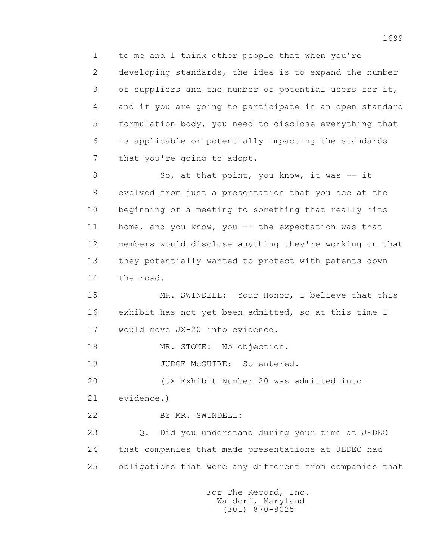1 to me and I think other people that when you're 2 developing standards, the idea is to expand the number 3 of suppliers and the number of potential users for it, 4 and if you are going to participate in an open standard 5 formulation body, you need to disclose everything that 6 is applicable or potentially impacting the standards 7 that you're going to adopt.

8 So, at that point, you know, it was -- it 9 evolved from just a presentation that you see at the 10 beginning of a meeting to something that really hits 11 home, and you know, you -- the expectation was that 12 members would disclose anything they're working on that 13 they potentially wanted to protect with patents down 14 the road.

15 MR. SWINDELL: Your Honor, I believe that this 16 exhibit has not yet been admitted, so at this time I 17 would move JX-20 into evidence.

18 MR. STONE: No objection.

19 JUDGE McGUIRE: So entered.

20 (JX Exhibit Number 20 was admitted into

21 evidence.)

22 BY MR. SWINDELL:

 23 Q. Did you understand during your time at JEDEC 24 that companies that made presentations at JEDEC had 25 obligations that were any different from companies that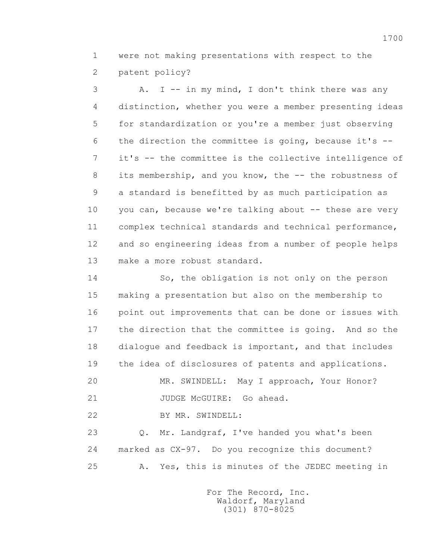1 were not making presentations with respect to the 2 patent policy?

 3 A. I -- in my mind, I don't think there was any 4 distinction, whether you were a member presenting ideas 5 for standardization or you're a member just observing 6 the direction the committee is going, because it's -- 7 it's -- the committee is the collective intelligence of 8 its membership, and you know, the -- the robustness of 9 a standard is benefitted by as much participation as 10 you can, because we're talking about -- these are very 11 complex technical standards and technical performance, 12 and so engineering ideas from a number of people helps 13 make a more robust standard.

 14 So, the obligation is not only on the person 15 making a presentation but also on the membership to 16 point out improvements that can be done or issues with 17 the direction that the committee is going. And so the 18 dialogue and feedback is important, and that includes 19 the idea of disclosures of patents and applications.

20 MR. SWINDELL: May I approach, Your Honor?

21 JUDGE McGUIRE: Go ahead.

22 BY MR. SWINDELL:

 23 Q. Mr. Landgraf, I've handed you what's been 24 marked as CX-97. Do you recognize this document? 25 A. Yes, this is minutes of the JEDEC meeting in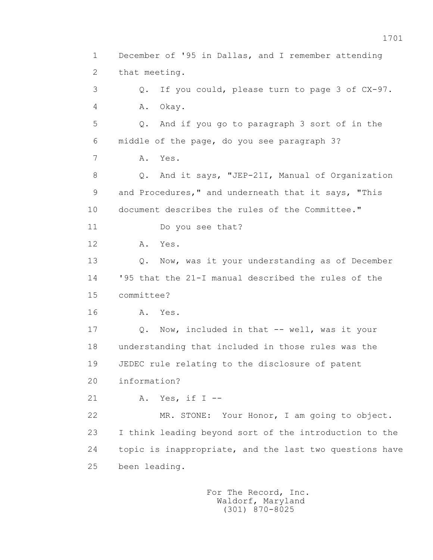1 December of '95 in Dallas, and I remember attending 2 that meeting. 3 Q. If you could, please turn to page 3 of CX-97. 4 A. Okay. 5 Q. And if you go to paragraph 3 sort of in the 6 middle of the page, do you see paragraph 3? 7 A. Yes. 8 Q. And it says, "JEP-21I, Manual of Organization 9 and Procedures," and underneath that it says, "This 10 document describes the rules of the Committee." 11 Do you see that? 12 A. Yes. 13 O. Now, was it your understanding as of December 14 '95 that the 21-I manual described the rules of the 15 committee? 16 A. Yes. 17 Q. Now, included in that -- well, was it your 18 understanding that included in those rules was the 19 JEDEC rule relating to the disclosure of patent 20 information? 21 A. Yes, if I -- 22 MR. STONE: Your Honor, I am going to object. 23 I think leading beyond sort of the introduction to the 24 topic is inappropriate, and the last two questions have 25 been leading.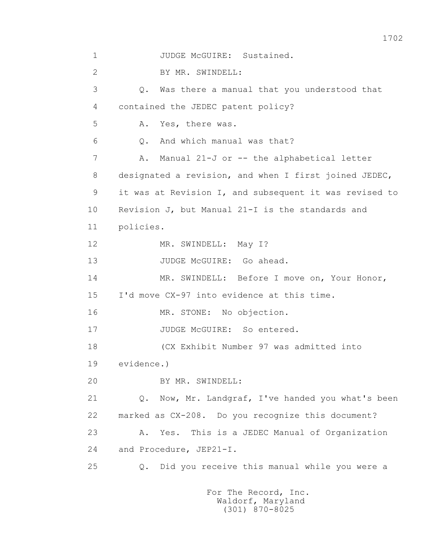1 JUDGE McGUIRE: Sustained. 2 BY MR. SWINDELL: 3 Q. Was there a manual that you understood that 4 contained the JEDEC patent policy? 5 A. Yes, there was. 6 Q. And which manual was that? 7 A. Manual 21-J or -- the alphabetical letter 8 designated a revision, and when I first joined JEDEC, 9 it was at Revision I, and subsequent it was revised to 10 Revision J, but Manual 21-I is the standards and 11 policies. 12 MR. SWINDELL: May I? 13 JUDGE McGUIRE: Go ahead. 14 MR. SWINDELL: Before I move on, Your Honor, 15 I'd move CX-97 into evidence at this time. 16 MR. STONE: No objection. 17 JUDGE McGUIRE: So entered. 18 (CX Exhibit Number 97 was admitted into 19 evidence.) 20 BY MR. SWINDELL: 21 Q. Now, Mr. Landgraf, I've handed you what's been 22 marked as CX-208. Do you recognize this document? 23 A. Yes. This is a JEDEC Manual of Organization 24 and Procedure, JEP21-I. 25 Q. Did you receive this manual while you were a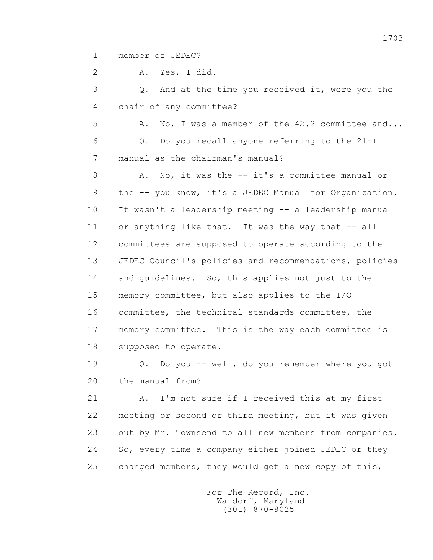1 member of JEDEC?

2 A. Yes, I did.

 3 Q. And at the time you received it, were you the 4 chair of any committee?

 5 A. No, I was a member of the 42.2 committee and... 6 Q. Do you recall anyone referring to the 21-I 7 manual as the chairman's manual?

8 A. No, it was the -- it's a committee manual or 9 the -- you know, it's a JEDEC Manual for Organization. 10 It wasn't a leadership meeting -- a leadership manual 11 or anything like that. It was the way that -- all 12 committees are supposed to operate according to the 13 JEDEC Council's policies and recommendations, policies 14 and guidelines. So, this applies not just to the 15 memory committee, but also applies to the I/O 16 committee, the technical standards committee, the 17 memory committee. This is the way each committee is 18 supposed to operate.

 19 Q. Do you -- well, do you remember where you got 20 the manual from?

 21 A. I'm not sure if I received this at my first 22 meeting or second or third meeting, but it was given 23 out by Mr. Townsend to all new members from companies. 24 So, every time a company either joined JEDEC or they 25 changed members, they would get a new copy of this,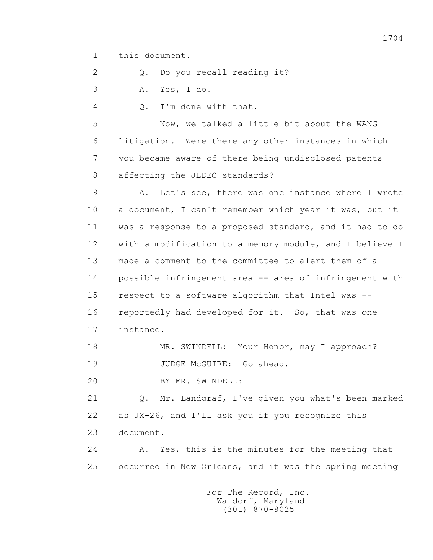1 this document.

2 0. Do you recall reading it?

3 A. Yes, I do.

4 Q. I'm done with that.

 5 Now, we talked a little bit about the WANG 6 litigation. Were there any other instances in which 7 you became aware of there being undisclosed patents 8 affecting the JEDEC standards?

 9 A. Let's see, there was one instance where I wrote 10 a document, I can't remember which year it was, but it 11 was a response to a proposed standard, and it had to do 12 with a modification to a memory module, and I believe I 13 made a comment to the committee to alert them of a 14 possible infringement area -- area of infringement with 15 respect to a software algorithm that Intel was -- 16 reportedly had developed for it. So, that was one 17 instance.

18 MR. SWINDELL: Your Honor, may I approach? 19 JUDGE McGUIRE: Go ahead.

20 BY MR. SWINDELL:

 21 Q. Mr. Landgraf, I've given you what's been marked 22 as JX-26, and I'll ask you if you recognize this 23 document.

 24 A. Yes, this is the minutes for the meeting that 25 occurred in New Orleans, and it was the spring meeting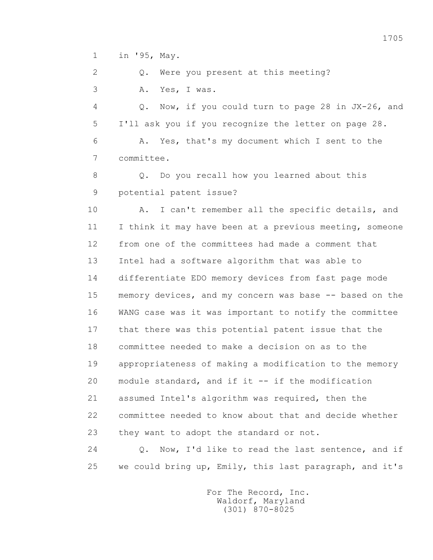1 in '95, May.

2 0. Were you present at this meeting? 3 A. Yes, I was.

 4 Q. Now, if you could turn to page 28 in JX-26, and 5 I'll ask you if you recognize the letter on page 28.

 6 A. Yes, that's my document which I sent to the 7 committee.

8 0. Do you recall how you learned about this 9 potential patent issue?

 10 A. I can't remember all the specific details, and 11 I think it may have been at a previous meeting, someone 12 from one of the committees had made a comment that 13 Intel had a software algorithm that was able to 14 differentiate EDO memory devices from fast page mode 15 memory devices, and my concern was base -- based on the 16 WANG case was it was important to notify the committee 17 that there was this potential patent issue that the 18 committee needed to make a decision on as to the 19 appropriateness of making a modification to the memory 20 module standard, and if it -- if the modification 21 assumed Intel's algorithm was required, then the 22 committee needed to know about that and decide whether 23 they want to adopt the standard or not.

24 0. Now, I'd like to read the last sentence, and if 25 we could bring up, Emily, this last paragraph, and it's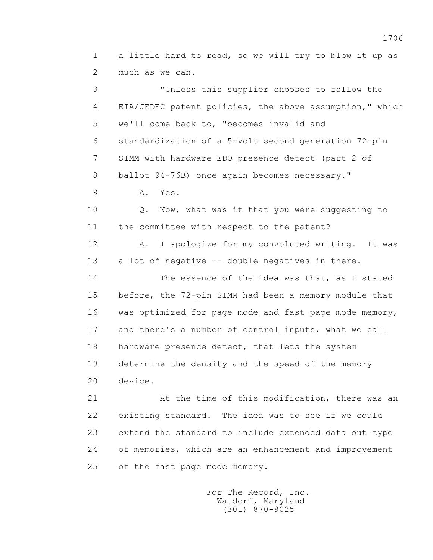1 a little hard to read, so we will try to blow it up as 2 much as we can.

 3 "Unless this supplier chooses to follow the 4 EIA/JEDEC patent policies, the above assumption," which 5 we'll come back to, "becomes invalid and 6 standardization of a 5-volt second generation 72-pin 7 SIMM with hardware EDO presence detect (part 2 of 8 ballot 94-76B) once again becomes necessary." 9 A. Yes. 10 Q. Now, what was it that you were suggesting to 11 the committee with respect to the patent? 12 A. I apologize for my convoluted writing. It was 13 a lot of negative -- double negatives in there. 14 The essence of the idea was that, as I stated 15 before, the 72-pin SIMM had been a memory module that 16 was optimized for page mode and fast page mode memory, 17 and there's a number of control inputs, what we call 18 hardware presence detect, that lets the system 19 determine the density and the speed of the memory 20 device.

> 21 At the time of this modification, there was an 22 existing standard. The idea was to see if we could 23 extend the standard to include extended data out type 24 of memories, which are an enhancement and improvement 25 of the fast page mode memory.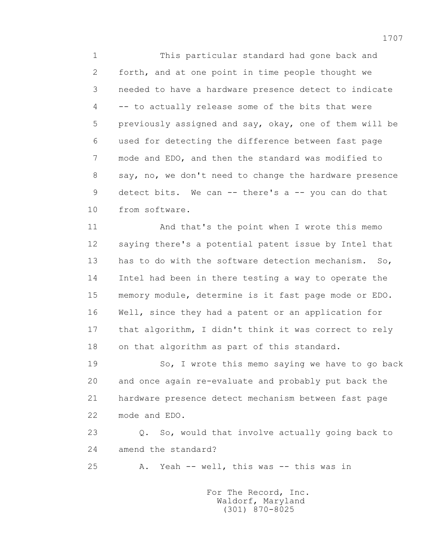1 This particular standard had gone back and 2 forth, and at one point in time people thought we 3 needed to have a hardware presence detect to indicate 4 -- to actually release some of the bits that were 5 previously assigned and say, okay, one of them will be 6 used for detecting the difference between fast page 7 mode and EDO, and then the standard was modified to 8 say, no, we don't need to change the hardware presence 9 detect bits. We can -- there's a -- you can do that 10 from software.

 11 And that's the point when I wrote this memo 12 saying there's a potential patent issue by Intel that 13 has to do with the software detection mechanism. So, 14 Intel had been in there testing a way to operate the 15 memory module, determine is it fast page mode or EDO. 16 Well, since they had a patent or an application for 17 that algorithm, I didn't think it was correct to rely 18 on that algorithm as part of this standard.

19 So, I wrote this memo saying we have to go back 20 and once again re-evaluate and probably put back the 21 hardware presence detect mechanism between fast page 22 mode and EDO.

 23 Q. So, would that involve actually going back to 24 amend the standard?

25 A. Yeah -- well, this was -- this was in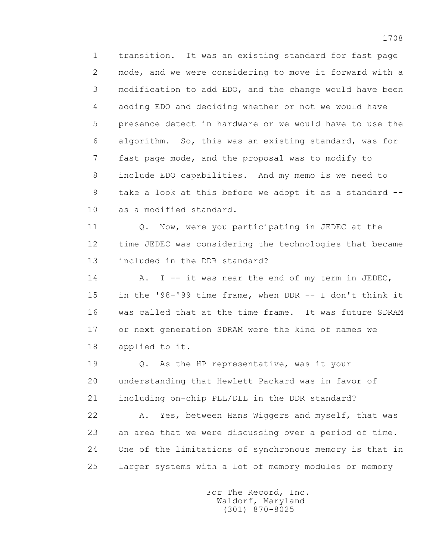1 transition. It was an existing standard for fast page 2 mode, and we were considering to move it forward with a 3 modification to add EDO, and the change would have been 4 adding EDO and deciding whether or not we would have 5 presence detect in hardware or we would have to use the 6 algorithm. So, this was an existing standard, was for 7 fast page mode, and the proposal was to modify to 8 include EDO capabilities. And my memo is we need to 9 take a look at this before we adopt it as a standard -- 10 as a modified standard.

 11 Q. Now, were you participating in JEDEC at the 12 time JEDEC was considering the technologies that became 13 included in the DDR standard?

14 A. I -- it was near the end of my term in JEDEC, 15 in the '98-'99 time frame, when DDR -- I don't think it 16 was called that at the time frame. It was future SDRAM 17 or next generation SDRAM were the kind of names we 18 applied to it.

 19 Q. As the HP representative, was it your 20 understanding that Hewlett Packard was in favor of 21 including on-chip PLL/DLL in the DDR standard?

 22 A. Yes, between Hans Wiggers and myself, that was 23 an area that we were discussing over a period of time. 24 One of the limitations of synchronous memory is that in 25 larger systems with a lot of memory modules or memory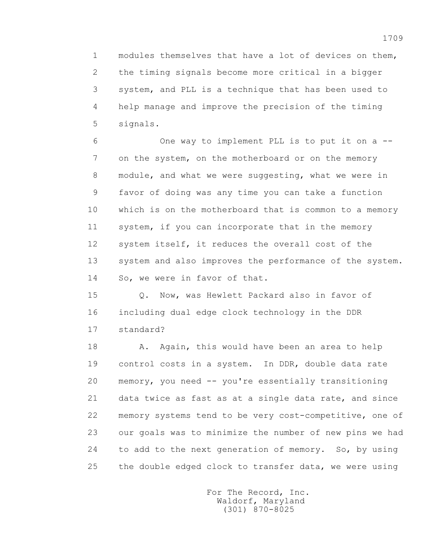1 modules themselves that have a lot of devices on them, 2 the timing signals become more critical in a bigger 3 system, and PLL is a technique that has been used to 4 help manage and improve the precision of the timing 5 signals.

 6 One way to implement PLL is to put it on a -- 7 on the system, on the motherboard or on the memory 8 module, and what we were suggesting, what we were in 9 favor of doing was any time you can take a function 10 which is on the motherboard that is common to a memory 11 system, if you can incorporate that in the memory 12 system itself, it reduces the overall cost of the 13 system and also improves the performance of the system. 14 So, we were in favor of that.

 15 Q. Now, was Hewlett Packard also in favor of 16 including dual edge clock technology in the DDR 17 standard?

18 A. Again, this would have been an area to help 19 control costs in a system. In DDR, double data rate 20 memory, you need -- you're essentially transitioning 21 data twice as fast as at a single data rate, and since 22 memory systems tend to be very cost-competitive, one of 23 our goals was to minimize the number of new pins we had 24 to add to the next generation of memory. So, by using 25 the double edged clock to transfer data, we were using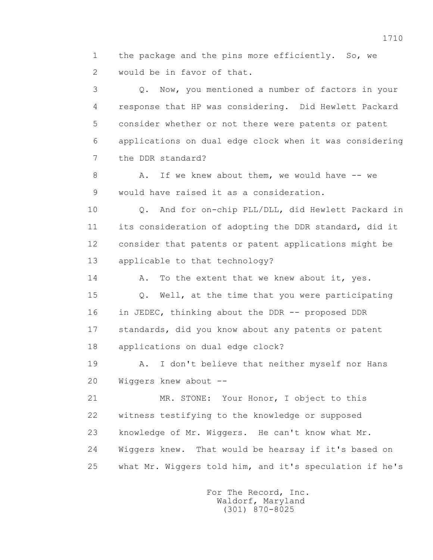1 the package and the pins more efficiently. So, we 2 would be in favor of that.

 3 Q. Now, you mentioned a number of factors in your 4 response that HP was considering. Did Hewlett Packard 5 consider whether or not there were patents or patent 6 applications on dual edge clock when it was considering 7 the DDR standard?

8 A. If we knew about them, we would have -- we 9 would have raised it as a consideration.

 10 Q. And for on-chip PLL/DLL, did Hewlett Packard in 11 its consideration of adopting the DDR standard, did it 12 consider that patents or patent applications might be 13 applicable to that technology?

14 A. To the extent that we knew about it, yes.

 15 Q. Well, at the time that you were participating 16 in JEDEC, thinking about the DDR -- proposed DDR 17 standards, did you know about any patents or patent 18 applications on dual edge clock?

 19 A. I don't believe that neither myself nor Hans 20 Wiggers knew about --

 21 MR. STONE: Your Honor, I object to this 22 witness testifying to the knowledge or supposed 23 knowledge of Mr. Wiggers. He can't know what Mr. 24 Wiggers knew. That would be hearsay if it's based on 25 what Mr. Wiggers told him, and it's speculation if he's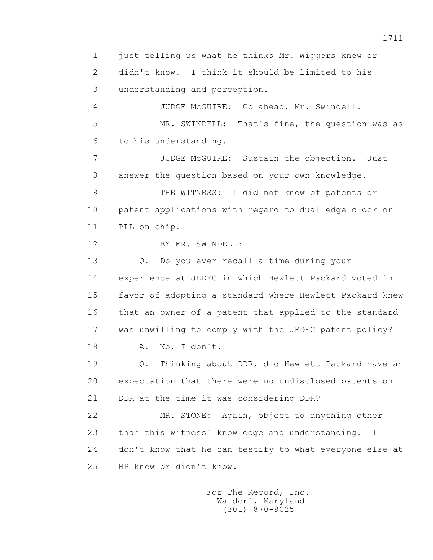1 just telling us what he thinks Mr. Wiggers knew or 2 didn't know. I think it should be limited to his 3 understanding and perception.

 4 JUDGE McGUIRE: Go ahead, Mr. Swindell. 5 MR. SWINDELL: That's fine, the question was as 6 to his understanding.

 7 JUDGE McGUIRE: Sustain the objection. Just 8 answer the question based on your own knowledge.

 9 THE WITNESS: I did not know of patents or 10 patent applications with regard to dual edge clock or 11 PLL on chip.

12 BY MR. SWINDELL:

 13 Q. Do you ever recall a time during your 14 experience at JEDEC in which Hewlett Packard voted in 15 favor of adopting a standard where Hewlett Packard knew 16 that an owner of a patent that applied to the standard 17 was unwilling to comply with the JEDEC patent policy?

18 A. No, I don't.

 19 Q. Thinking about DDR, did Hewlett Packard have an 20 expectation that there were no undisclosed patents on 21 DDR at the time it was considering DDR?

 22 MR. STONE: Again, object to anything other 23 than this witness' knowledge and understanding. I 24 don't know that he can testify to what everyone else at 25 HP knew or didn't know.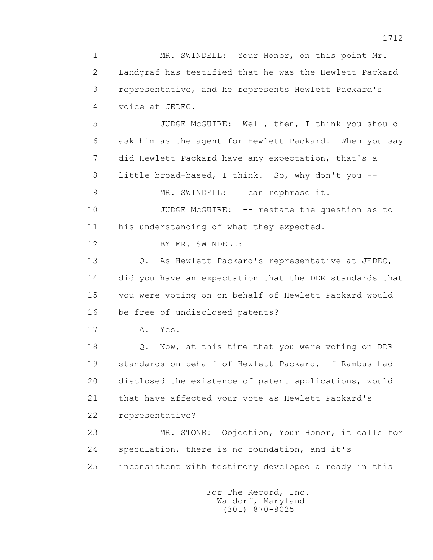1 MR. SWINDELL: Your Honor, on this point Mr. 2 Landgraf has testified that he was the Hewlett Packard 3 representative, and he represents Hewlett Packard's 4 voice at JEDEC. 5 JUDGE McGUIRE: Well, then, I think you should 6 ask him as the agent for Hewlett Packard. When you say 7 did Hewlett Packard have any expectation, that's a 8 little broad-based, I think. So, why don't you -- 9 MR. SWINDELL: I can rephrase it. 10 JUDGE McGUIRE: -- restate the question as to 11 his understanding of what they expected. 12 BY MR. SWINDELL: 13 Q. As Hewlett Packard's representative at JEDEC, 14 did you have an expectation that the DDR standards that 15 you were voting on on behalf of Hewlett Packard would 16 be free of undisclosed patents? 17 A. Yes. 18 **Q.** Now, at this time that you were voting on DDR 19 standards on behalf of Hewlett Packard, if Rambus had 20 disclosed the existence of patent applications, would 21 that have affected your vote as Hewlett Packard's 22 representative? 23 MR. STONE: Objection, Your Honor, it calls for 24 speculation, there is no foundation, and it's 25 inconsistent with testimony developed already in this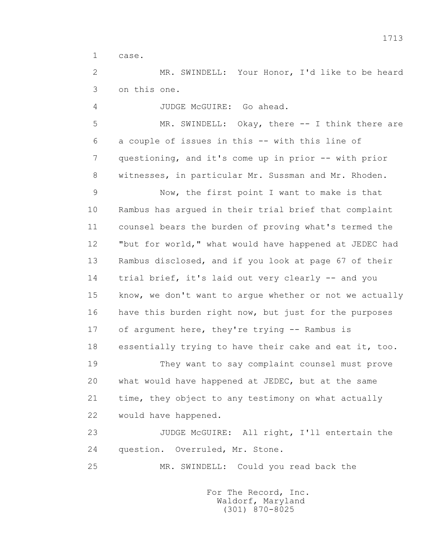1 case.

 2 MR. SWINDELL: Your Honor, I'd like to be heard 3 on this one.

4 JUDGE McGUIRE: Go ahead.

 5 MR. SWINDELL: Okay, there -- I think there are 6 a couple of issues in this -- with this line of 7 questioning, and it's come up in prior -- with prior 8 witnesses, in particular Mr. Sussman and Mr. Rhoden.

 9 Now, the first point I want to make is that 10 Rambus has argued in their trial brief that complaint 11 counsel bears the burden of proving what's termed the 12 "but for world," what would have happened at JEDEC had 13 Rambus disclosed, and if you look at page 67 of their 14 trial brief, it's laid out very clearly -- and you 15 know, we don't want to argue whether or not we actually 16 have this burden right now, but just for the purposes 17 of argument here, they're trying -- Rambus is 18 essentially trying to have their cake and eat it, too.

 19 They want to say complaint counsel must prove 20 what would have happened at JEDEC, but at the same 21 time, they object to any testimony on what actually 22 would have happened.

 23 JUDGE McGUIRE: All right, I'll entertain the 24 question. Overruled, Mr. Stone.

25 MR. SWINDELL: Could you read back the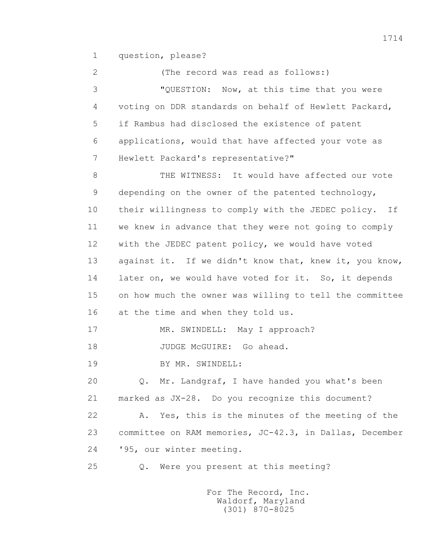1 question, please?

 2 (The record was read as follows:) 3 "QUESTION: Now, at this time that you were 4 voting on DDR standards on behalf of Hewlett Packard, 5 if Rambus had disclosed the existence of patent 6 applications, would that have affected your vote as 7 Hewlett Packard's representative?" 8 THE WITNESS: It would have affected our vote 9 depending on the owner of the patented technology, 10 their willingness to comply with the JEDEC policy. If 11 we knew in advance that they were not going to comply 12 with the JEDEC patent policy, we would have voted 13 against it. If we didn't know that, knew it, you know, 14 later on, we would have voted for it. So, it depends 15 on how much the owner was willing to tell the committee 16 at the time and when they told us. 17 MR. SWINDELL: May I approach? 18 JUDGE McGUIRE: Go ahead. 19 BY MR. SWINDELL: 20 Q. Mr. Landgraf, I have handed you what's been 21 marked as JX-28. Do you recognize this document? 22 A. Yes, this is the minutes of the meeting of the 23 committee on RAM memories, JC-42.3, in Dallas, December 24 '95, our winter meeting. 25 Q. Were you present at this meeting?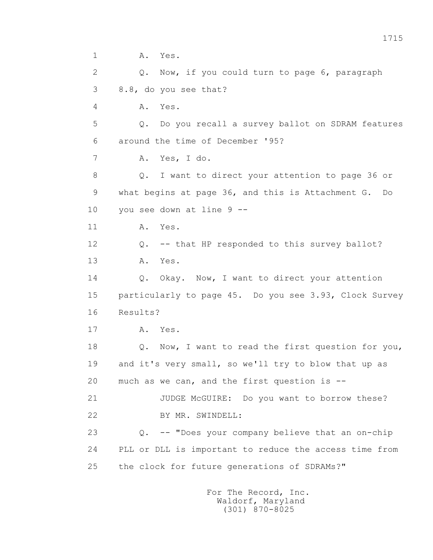1 **A.** Yes. 2 Q. Now, if you could turn to page 6, paragraph 3 8.8, do you see that? 4 A. Yes. 5 Q. Do you recall a survey ballot on SDRAM features 6 around the time of December '95? 7 A. Yes, I do. 8 Q. I want to direct your attention to page 36 or 9 what begins at page 36, and this is Attachment G. Do 10 you see down at line 9 -- 11 A. Yes. 12 Q. -- that HP responded to this survey ballot? 13 A. Yes. 14 0. Okay. Now, I want to direct your attention 15 particularly to page 45. Do you see 3.93, Clock Survey 16 Results? 17 A. Yes. 18 Q. Now, I want to read the first question for you, 19 and it's very small, so we'll try to blow that up as 20 much as we can, and the first question is -- 21 JUDGE McGUIRE: Do you want to borrow these? 22 BY MR. SWINDELL: 23 Q. -- "Does your company believe that an on-chip 24 PLL or DLL is important to reduce the access time from 25 the clock for future generations of SDRAMs?"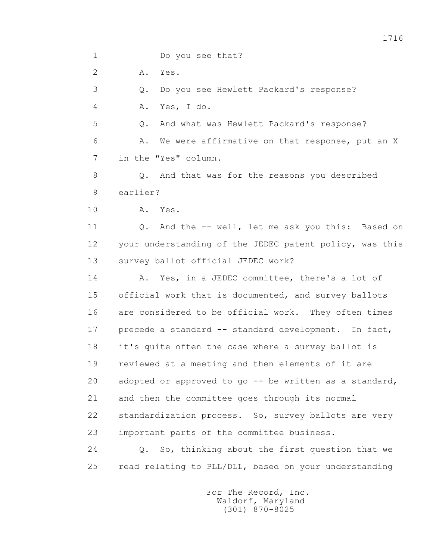1716 1 Do you see that? 2 A. Yes. 3 Q. Do you see Hewlett Packard's response? 4 A. Yes, I do. 5 Q. And what was Hewlett Packard's response? 6 A. We were affirmative on that response, put an X 7 in the "Yes" column. 8 0. And that was for the reasons you described 9 earlier? 10 A. Yes. 11 Q. And the -- well, let me ask you this: Based on 12 your understanding of the JEDEC patent policy, was this 13 survey ballot official JEDEC work? 14 A. Yes, in a JEDEC committee, there's a lot of 15 official work that is documented, and survey ballots 16 are considered to be official work. They often times 17 precede a standard -- standard development. In fact, 18 it's quite often the case where a survey ballot is 19 reviewed at a meeting and then elements of it are 20 adopted or approved to go -- be written as a standard, 21 and then the committee goes through its normal 22 standardization process. So, survey ballots are very

23 important parts of the committee business.

 24 Q. So, thinking about the first question that we 25 read relating to PLL/DLL, based on your understanding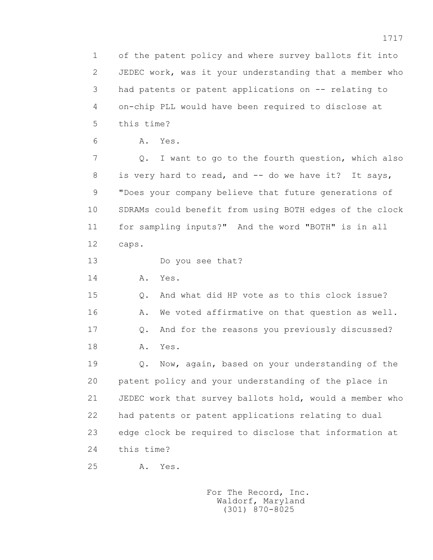1 of the patent policy and where survey ballots fit into 2 JEDEC work, was it your understanding that a member who 3 had patents or patent applications on -- relating to 4 on-chip PLL would have been required to disclose at 5 this time?

6 A. Yes.

 7 Q. I want to go to the fourth question, which also 8 is very hard to read, and -- do we have it? It says, 9 "Does your company believe that future generations of 10 SDRAMs could benefit from using BOTH edges of the clock 11 for sampling inputs?" And the word "BOTH" is in all 12 caps.

13 Do you see that?

14 **A.** Yes.

 15 Q. And what did HP vote as to this clock issue? 16 A. We voted affirmative on that question as well. 17 Q. And for the reasons you previously discussed? 18 A. Yes.

 19 Q. Now, again, based on your understanding of the 20 patent policy and your understanding of the place in 21 JEDEC work that survey ballots hold, would a member who 22 had patents or patent applications relating to dual 23 edge clock be required to disclose that information at 24 this time?

25 A. Yes.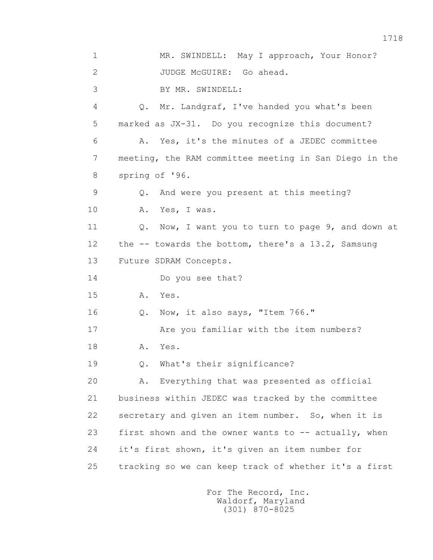1 MR. SWINDELL: May I approach, Your Honor? 2 JUDGE McGUIRE: Go ahead. 3 BY MR. SWINDELL: 4 Q. Mr. Landgraf, I've handed you what's been 5 marked as JX-31. Do you recognize this document? 6 A. Yes, it's the minutes of a JEDEC committee 7 meeting, the RAM committee meeting in San Diego in the 8 spring of '96. 9 Q. And were you present at this meeting? 10 A. Yes, I was. 11 Q. Now, I want you to turn to page 9, and down at 12 the -- towards the bottom, there's a 13.2, Samsung 13 Future SDRAM Concepts. 14 Do you see that? 15 A. Yes. 16 Q. Now, it also says, "Item 766." 17 Are you familiar with the item numbers? 18 A. Yes. 19 Q. What's their significance? 20 A. Everything that was presented as official 21 business within JEDEC was tracked by the committee 22 secretary and given an item number. So, when it is 23 first shown and the owner wants to -- actually, when 24 it's first shown, it's given an item number for 25 tracking so we can keep track of whether it's a first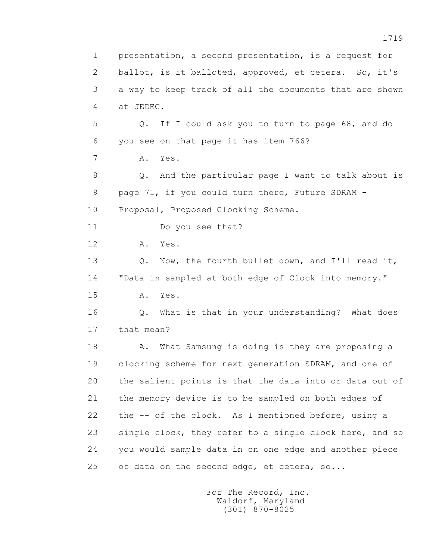1 presentation, a second presentation, is a request for 2 ballot, is it balloted, approved, et cetera. So, it's 3 a way to keep track of all the documents that are shown 4 at JEDEC. 5 Q. If I could ask you to turn to page 68, and do 6 you see on that page it has item 766? 7 A. Yes. 8 Q. And the particular page I want to talk about is 9 page 71, if you could turn there, Future SDRAM - 10 Proposal, Proposed Clocking Scheme. 11 Do you see that? 12 A. Yes. 13 Q. Now, the fourth bullet down, and I'll read it, 14 "Data in sampled at both edge of Clock into memory." 15 A. Yes. 16 Q. What is that in your understanding? What does 17 that mean? 18 A. What Samsung is doing is they are proposing a 19 clocking scheme for next generation SDRAM, and one of 20 the salient points is that the data into or data out of 21 the memory device is to be sampled on both edges of 22 the -- of the clock. As I mentioned before, using a 23 single clock, they refer to a single clock here, and so 24 you would sample data in on one edge and another piece 25 of data on the second edge, et cetera, so...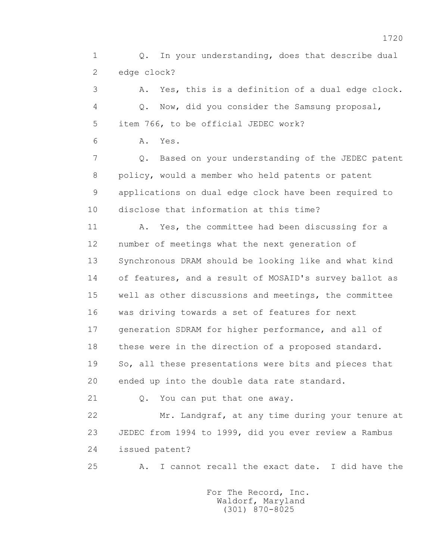1 Q. In your understanding, does that describe dual 2 edge clock?

 3 A. Yes, this is a definition of a dual edge clock. 4 Q. Now, did you consider the Samsung proposal, 5 item 766, to be official JEDEC work?

6 A. Yes.

 7 Q. Based on your understanding of the JEDEC patent 8 policy, would a member who held patents or patent 9 applications on dual edge clock have been required to 10 disclose that information at this time?

11 A. Yes, the committee had been discussing for a 12 number of meetings what the next generation of 13 Synchronous DRAM should be looking like and what kind 14 of features, and a result of MOSAID's survey ballot as 15 well as other discussions and meetings, the committee 16 was driving towards a set of features for next 17 generation SDRAM for higher performance, and all of 18 these were in the direction of a proposed standard. 19 So, all these presentations were bits and pieces that 20 ended up into the double data rate standard.

21 Q. You can put that one away.

 22 Mr. Landgraf, at any time during your tenure at 23 JEDEC from 1994 to 1999, did you ever review a Rambus 24 issued patent?

25 A. I cannot recall the exact date. I did have the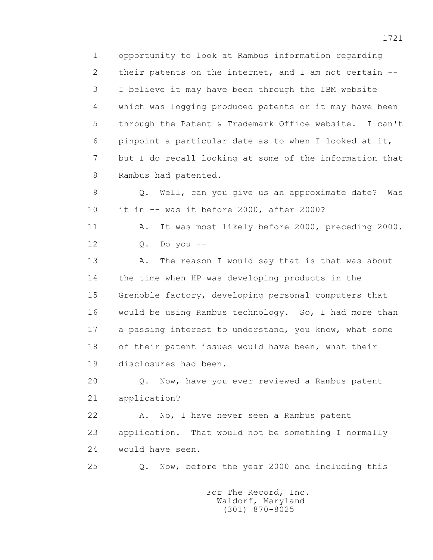1 opportunity to look at Rambus information regarding 2 their patents on the internet, and I am not certain -- 3 I believe it may have been through the IBM website 4 which was logging produced patents or it may have been 5 through the Patent & Trademark Office website. I can't 6 pinpoint a particular date as to when I looked at it, 7 but I do recall looking at some of the information that 8 Rambus had patented.

 9 Q. Well, can you give us an approximate date? Was 10 it in -- was it before 2000, after 2000?

 11 A. It was most likely before 2000, preceding 2000. 12 Q. Do you --

13 A. The reason I would say that is that was about 14 the time when HP was developing products in the 15 Grenoble factory, developing personal computers that 16 would be using Rambus technology. So, I had more than 17 a passing interest to understand, you know, what some 18 of their patent issues would have been, what their 19 disclosures had been.

 20 Q. Now, have you ever reviewed a Rambus patent 21 application?

22 A. No, I have never seen a Rambus patent 23 application. That would not be something I normally 24 would have seen.

25 Q. Now, before the year 2000 and including this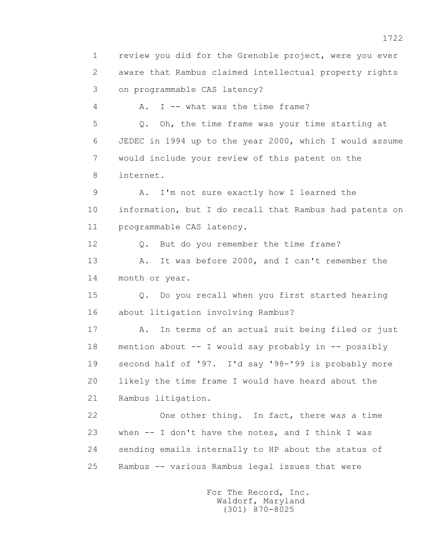1 review you did for the Grenoble project, were you ever 2 aware that Rambus claimed intellectual property rights 3 on programmable CAS latency? 4 A. I -- what was the time frame? 5 Q. Oh, the time frame was your time starting at 6 JEDEC in 1994 up to the year 2000, which I would assume 7 would include your review of this patent on the 8 internet. 9 A. I'm not sure exactly how I learned the 10 information, but I do recall that Rambus had patents on 11 programmable CAS latency. 12 Q. But do you remember the time frame? 13 A. It was before 2000, and I can't remember the 14 month or year. 15 Q. Do you recall when you first started hearing 16 about litigation involving Rambus? 17 A. In terms of an actual suit being filed or just 18 mention about -- I would say probably in -- possibly 19 second half of '97. I'd say '98-'99 is probably more 20 likely the time frame I would have heard about the 21 Rambus litigation. 22 One other thing. In fact, there was a time 23 when -- I don't have the notes, and I think I was 24 sending emails internally to HP about the status of 25 Rambus -- various Rambus legal issues that were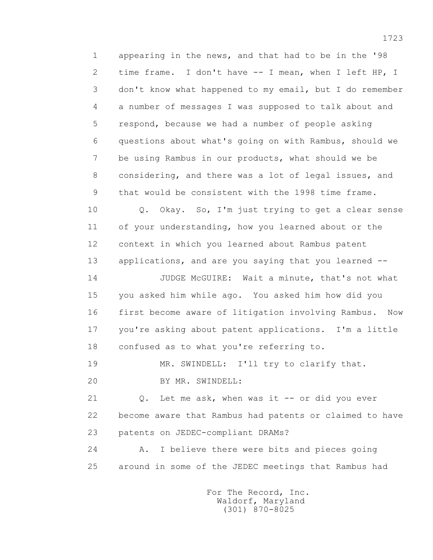1 appearing in the news, and that had to be in the '98 2 time frame. I don't have -- I mean, when I left HP, I 3 don't know what happened to my email, but I do remember 4 a number of messages I was supposed to talk about and 5 respond, because we had a number of people asking 6 questions about what's going on with Rambus, should we 7 be using Rambus in our products, what should we be 8 considering, and there was a lot of legal issues, and 9 that would be consistent with the 1998 time frame.

 10 Q. Okay. So, I'm just trying to get a clear sense 11 of your understanding, how you learned about or the 12 context in which you learned about Rambus patent 13 applications, and are you saying that you learned --

 14 JUDGE McGUIRE: Wait a minute, that's not what 15 you asked him while ago. You asked him how did you 16 first become aware of litigation involving Rambus. Now 17 you're asking about patent applications. I'm a little 18 confused as to what you're referring to.

19 MR. SWINDELL: I'll try to clarify that.

20 BY MR. SWINDELL:

 21 Q. Let me ask, when was it -- or did you ever 22 become aware that Rambus had patents or claimed to have 23 patents on JEDEC-compliant DRAMs?

 24 A. I believe there were bits and pieces going 25 around in some of the JEDEC meetings that Rambus had

> For The Record, Inc. Waldorf, Maryland (301) 870-8025

1723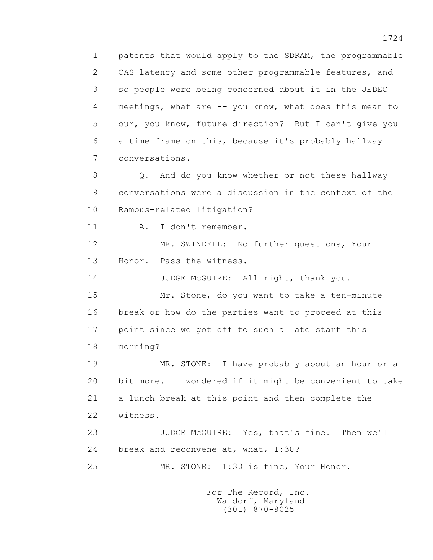1 patents that would apply to the SDRAM, the programmable 2 CAS latency and some other programmable features, and 3 so people were being concerned about it in the JEDEC 4 meetings, what are -- you know, what does this mean to 5 our, you know, future direction? But I can't give you 6 a time frame on this, because it's probably hallway 7 conversations.

 8 Q. And do you know whether or not these hallway 9 conversations were a discussion in the context of the 10 Rambus-related litigation?

11 A. I don't remember.

 12 MR. SWINDELL: No further questions, Your 13 Honor. Pass the witness.

14 JUDGE McGUIRE: All right, thank you.

 15 Mr. Stone, do you want to take a ten-minute 16 break or how do the parties want to proceed at this 17 point since we got off to such a late start this 18 morning?

 19 MR. STONE: I have probably about an hour or a 20 bit more. I wondered if it might be convenient to take 21 a lunch break at this point and then complete the 22 witness.

 23 JUDGE McGUIRE: Yes, that's fine. Then we'll 24 break and reconvene at, what, 1:30?

25 MR. STONE: 1:30 is fine, Your Honor.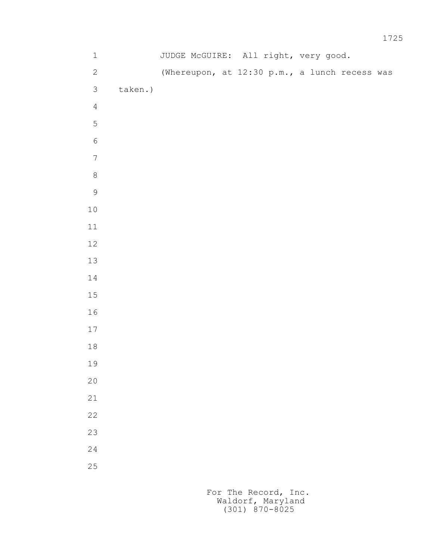| $\mathbf 1$      |         | JUDGE McGUIRE: All right, very good.          |  |  |  |
|------------------|---------|-----------------------------------------------|--|--|--|
| $\sqrt{2}$       |         | (Whereupon, at 12:30 p.m., a lunch recess was |  |  |  |
| $\mathfrak{Z}$   | taken.) |                                               |  |  |  |
| $\overline{4}$   |         |                                               |  |  |  |
| 5                |         |                                               |  |  |  |
| $\sqrt{6}$       |         |                                               |  |  |  |
| $\boldsymbol{7}$ |         |                                               |  |  |  |
| $\,8\,$          |         |                                               |  |  |  |
| $\mathsf 9$      |         |                                               |  |  |  |
| $1\,0$           |         |                                               |  |  |  |
| $11\,$           |         |                                               |  |  |  |
| $12\,$           |         |                                               |  |  |  |
| 13               |         |                                               |  |  |  |
| $1\,4$           |         |                                               |  |  |  |
| $1\,5$           |         |                                               |  |  |  |
| 16               |         |                                               |  |  |  |
| $17\,$           |         |                                               |  |  |  |
| $1\,8$           |         |                                               |  |  |  |
| 19               |         |                                               |  |  |  |
| $20$             |         |                                               |  |  |  |
| 21               |         |                                               |  |  |  |
| 22               |         |                                               |  |  |  |
| 23               |         |                                               |  |  |  |
| 24               |         |                                               |  |  |  |
| 25               |         |                                               |  |  |  |
|                  |         |                                               |  |  |  |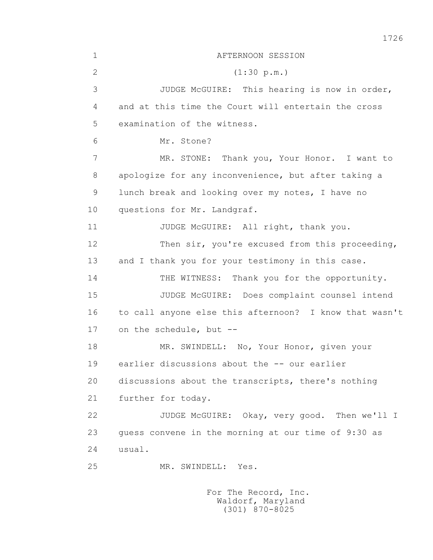1 AFTERNOON SESSION 2 (1:30 p.m.) 3 JUDGE McGUIRE: This hearing is now in order, 4 and at this time the Court will entertain the cross 5 examination of the witness. 6 Mr. Stone? 7 MR. STONE: Thank you, Your Honor. I want to 8 apologize for any inconvenience, but after taking a 9 lunch break and looking over my notes, I have no 10 questions for Mr. Landgraf. 11 JUDGE McGUIRE: All right, thank you. 12 Then sir, you're excused from this proceeding, 13 and I thank you for your testimony in this case. 14 THE WITNESS: Thank you for the opportunity. 15 JUDGE McGUIRE: Does complaint counsel intend 16 to call anyone else this afternoon? I know that wasn't 17 on the schedule, but -- 18 MR. SWINDELL: No, Your Honor, given your 19 earlier discussions about the -- our earlier 20 discussions about the transcripts, there's nothing 21 further for today. 22 JUDGE McGUIRE: Okay, very good. Then we'll I 23 guess convene in the morning at our time of 9:30 as 24 usual. 25 MR. SWINDELL: Yes.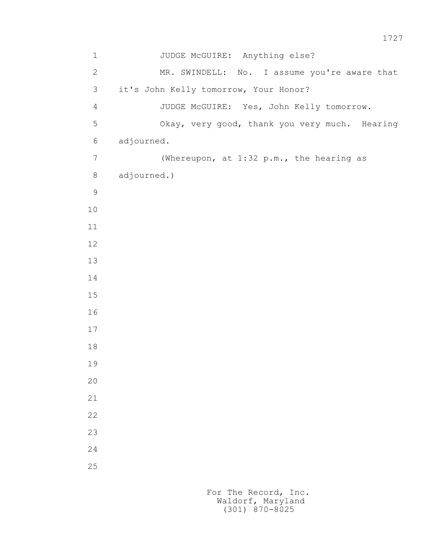| $\mathbf 1$    | JUDGE McGUIRE: Anything else?                 |
|----------------|-----------------------------------------------|
| $\mathbf{2}$   | MR. SWINDELL: No. I assume you're aware that  |
| 3              | it's John Kelly tomorrow, Your Honor?         |
| $\overline{4}$ | JUDGE McGUIRE: Yes, John Kelly tomorrow.      |
| 5              | Okay, very good, thank you very much. Hearing |
| 6              | adjourned.                                    |
| $\overline{7}$ | (Whereupon, at 1:32 p.m., the hearing as      |
| $8\,$          | adjourned.)                                   |
| $\mathcal{G}$  |                                               |
| 10             |                                               |
| 11             |                                               |
| 12             |                                               |
| 13             |                                               |
| 14             |                                               |
| 15             |                                               |
| 16             |                                               |
| 17             |                                               |
| $18\,$         |                                               |
| 19             |                                               |
| 20             |                                               |
| 21             |                                               |
| 22             |                                               |
| 23             |                                               |
| 24             |                                               |
| 25             |                                               |
|                |                                               |